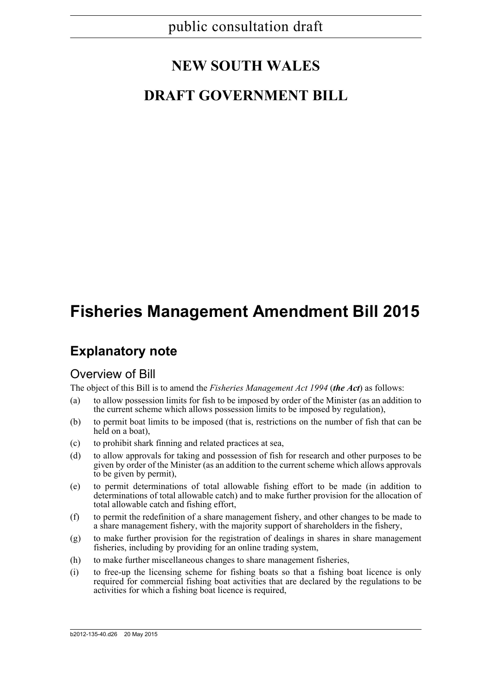# **NEW SOUTH WALES**

# **DRAFT GOVERNMENT BILL**

# **Fisheries Management Amendment Bill 2015**

## **Explanatory note**

## Overview of Bill

The object of this Bill is to amend the *Fisheries Management Act 1994* (*the Act*) as follows:

- (a) to allow possession limits for fish to be imposed by order of the Minister (as an addition to the current scheme which allows possession limits to be imposed by regulation),
- (b) to permit boat limits to be imposed (that is, restrictions on the number of fish that can be held on a boat),
- (c) to prohibit shark finning and related practices at sea,
- (d) to allow approvals for taking and possession of fish for research and other purposes to be given by order of the Minister (as an addition to the current scheme which allows approvals to be given by permit),
- (e) to permit determinations of total allowable fishing effort to be made (in addition to determinations of total allowable catch) and to make further provision for the allocation of total allowable catch and fishing effort,
- (f) to permit the redefinition of a share management fishery, and other changes to be made to a share management fishery, with the majority support of shareholders in the fishery,
- (g) to make further provision for the registration of dealings in shares in share management fisheries, including by providing for an online trading system,
- (h) to make further miscellaneous changes to share management fisheries,
- (i) to free-up the licensing scheme for fishing boats so that a fishing boat licence is only required for commercial fishing boat activities that are declared by the regulations to be activities for which a fishing boat licence is required,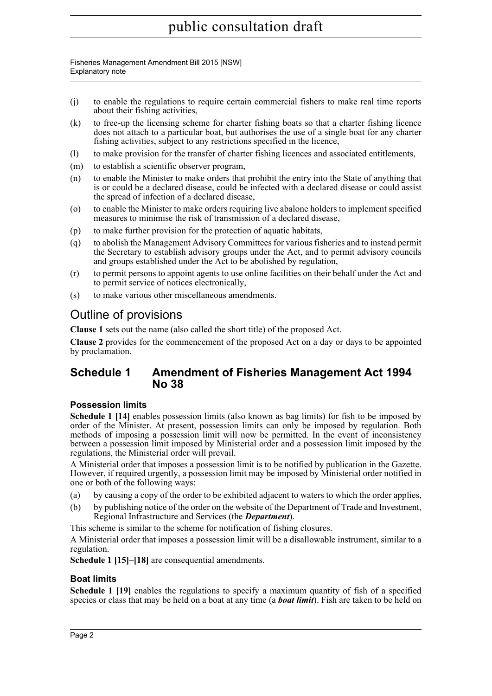Fisheries Management Amendment Bill 2015 [NSW] Explanatory note

- (j) to enable the regulations to require certain commercial fishers to make real time reports about their fishing activities,
- (k) to free-up the licensing scheme for charter fishing boats so that a charter fishing licence does not attach to a particular boat, but authorises the use of a single boat for any charter fishing activities, subject to any restrictions specified in the licence,
- (l) to make provision for the transfer of charter fishing licences and associated entitlements,
- (m) to establish a scientific observer program,
- (n) to enable the Minister to make orders that prohibit the entry into the State of anything that is or could be a declared disease, could be infected with a declared disease or could assist the spread of infection of a declared disease,
- (o) to enable the Minister to make orders requiring live abalone holders to implement specified measures to minimise the risk of transmission of a declared disease,
- (p) to make further provision for the protection of aquatic habitats,
- (q) to abolish the Management Advisory Committees for various fisheries and to instead permit the Secretary to establish advisory groups under the Act, and to permit advisory councils and groups established under the Act to be abolished by regulation,
- (r) to permit persons to appoint agents to use online facilities on their behalf under the Act and to permit service of notices electronically,
- (s) to make various other miscellaneous amendments.

## Outline of provisions

**Clause 1** sets out the name (also called the short title) of the proposed Act.

**Clause 2** provides for the commencement of the proposed Act on a day or days to be appointed by proclamation.

## **Schedule 1 Amendment of Fisheries Management Act 1994 No 38**

## **Possession limits**

**Schedule 1 [14]** enables possession limits (also known as bag limits) for fish to be imposed by order of the Minister. At present, possession limits can only be imposed by regulation. Both methods of imposing a possession limit will now be permitted. In the event of inconsistency between a possession limit imposed by Ministerial order and a possession limit imposed by the regulations, the Ministerial order will prevail.

A Ministerial order that imposes a possession limit is to be notified by publication in the Gazette. However, if required urgently, a possession limit may be imposed by Ministerial order notified in one or both of the following ways:

- (a) by causing a copy of the order to be exhibited adjacent to waters to which the order applies,
- (b) by publishing notice of the order on the website of the Department of Trade and Investment, Regional Infrastructure and Services (the *Department*).

This scheme is similar to the scheme for notification of fishing closures.

A Ministerial order that imposes a possession limit will be a disallowable instrument, similar to a regulation.

**Schedule 1 [15]–[18]** are consequential amendments.

## **Boat limits**

**Schedule 1 [19]** enables the regulations to specify a maximum quantity of fish of a specified species or class that may be held on a boat at any time (a *boat limit*). Fish are taken to be held on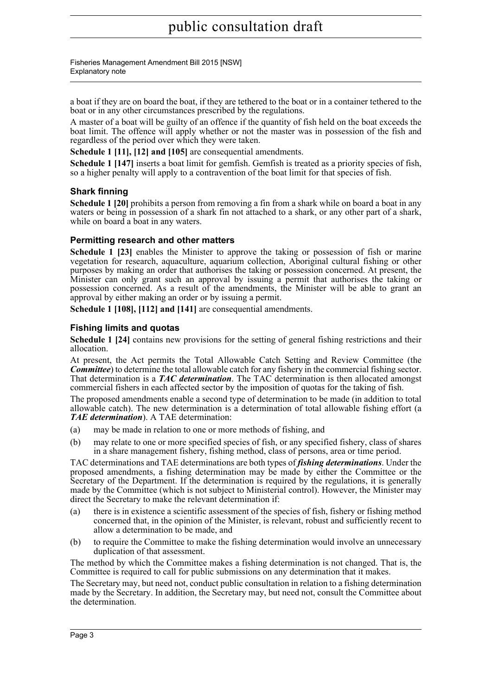Fisheries Management Amendment Bill 2015 [NSW] Explanatory note

a boat if they are on board the boat, if they are tethered to the boat or in a container tethered to the boat or in any other circumstances prescribed by the regulations.

A master of a boat will be guilty of an offence if the quantity of fish held on the boat exceeds the boat limit. The offence will apply whether or not the master was in possession of the fish and regardless of the period over which they were taken.

**Schedule 1 [11], [12] and [105]** are consequential amendments.

**Schedule 1 [147]** inserts a boat limit for gemfish. Gemfish is treated as a priority species of fish, so a higher penalty will apply to a contravention of the boat limit for that species of fish.

## **Shark finning**

**Schedule 1 [20]** prohibits a person from removing a fin from a shark while on board a boat in any waters or being in possession of a shark fin not attached to a shark, or any other part of a shark, while on board a boat in any waters.

## **Permitting research and other matters**

**Schedule 1 [23]** enables the Minister to approve the taking or possession of fish or marine vegetation for research, aquaculture, aquarium collection, Aboriginal cultural fishing or other purposes by making an order that authorises the taking or possession concerned. At present, the Minister can only grant such an approval by issuing a permit that authorises the taking or possession concerned. As a result of the amendments, the Minister will be able to grant an approval by either making an order or by issuing a permit.

**Schedule 1 [108], [112] and [141]** are consequential amendments.

## **Fishing limits and quotas**

**Schedule 1 [24]** contains new provisions for the setting of general fishing restrictions and their allocation.

At present, the Act permits the Total Allowable Catch Setting and Review Committee (the *Committee*) to determine the total allowable catch for any fishery in the commercial fishing sector. That determination is a *TAC determination*. The TAC determination is then allocated amongst commercial fishers in each affected sector by the imposition of quotas for the taking of fish.

The proposed amendments enable a second type of determination to be made (in addition to total allowable catch). The new determination is a determination of total allowable fishing effort (a *TAE determination*). A TAE determination:

- (a) may be made in relation to one or more methods of fishing, and
- (b) may relate to one or more specified species of fish, or any specified fishery, class of shares in a share management fishery, fishing method, class of persons, area or time period.

TAC determinations and TAE determinations are both types of *fishing determinations*. Under the proposed amendments, a fishing determination may be made by either the Committee or the Secretary of the Department. If the determination is required by the regulations, it is generally made by the Committee (which is not subject to Ministerial control). However, the Minister may direct the Secretary to make the relevant determination if:

- (a) there is in existence a scientific assessment of the species of fish, fishery or fishing method concerned that, in the opinion of the Minister, is relevant, robust and sufficiently recent to allow a determination to be made, and
- (b) to require the Committee to make the fishing determination would involve an unnecessary duplication of that assessment.

The method by which the Committee makes a fishing determination is not changed. That is, the Committee is required to call for public submissions on any determination that it makes.

The Secretary may, but need not, conduct public consultation in relation to a fishing determination made by the Secretary. In addition, the Secretary may, but need not, consult the Committee about the determination.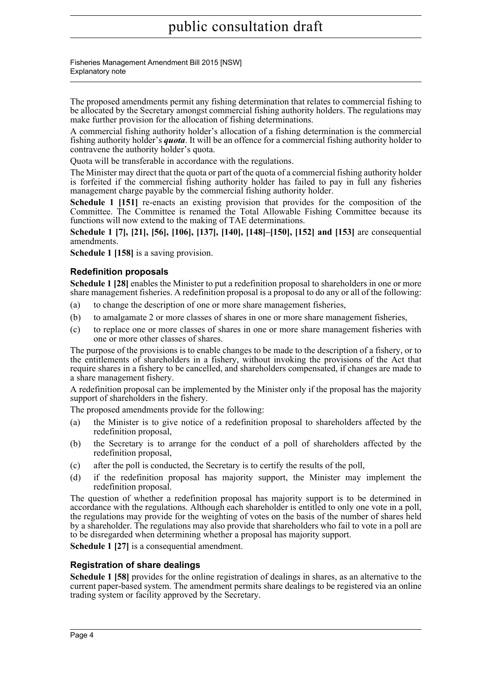Fisheries Management Amendment Bill 2015 [NSW] Explanatory note

The proposed amendments permit any fishing determination that relates to commercial fishing to be allocated by the Secretary amongst commercial fishing authority holders. The regulations may make further provision for the allocation of fishing determinations.

A commercial fishing authority holder's allocation of a fishing determination is the commercial fishing authority holder's *quota*. It will be an offence for a commercial fishing authority holder to contravene the authority holder's quota.

Quota will be transferable in accordance with the regulations.

The Minister may direct that the quota or part of the quota of a commercial fishing authority holder is forfeited if the commercial fishing authority holder has failed to pay in full any fisheries management charge payable by the commercial fishing authority holder.

**Schedule 1 [151]** re-enacts an existing provision that provides for the composition of the Committee. The Committee is renamed the Total Allowable Fishing Committee because its functions will now extend to the making of TAE determinations.

**Schedule 1 [7], [21], [56], [106], [137], [140], [148]–[150], [152] and [153]** are consequential amendments.

**Schedule 1 [158]** is a saving provision.

## **Redefinition proposals**

**Schedule 1 [28]** enables the Minister to put a redefinition proposal to shareholders in one or more share management fisheries. A redefinition proposal is a proposal to do any or all of the following:

- (a) to change the description of one or more share management fisheries,
- (b) to amalgamate 2 or more classes of shares in one or more share management fisheries,
- (c) to replace one or more classes of shares in one or more share management fisheries with one or more other classes of shares.

The purpose of the provisions is to enable changes to be made to the description of a fishery, or to the entitlements of shareholders in a fishery, without invoking the provisions of the Act that require shares in a fishery to be cancelled, and shareholders compensated, if changes are made to a share management fishery.

A redefinition proposal can be implemented by the Minister only if the proposal has the majority support of shareholders in the fishery.

The proposed amendments provide for the following:

- (a) the Minister is to give notice of a redefinition proposal to shareholders affected by the redefinition proposal,
- (b) the Secretary is to arrange for the conduct of a poll of shareholders affected by the redefinition proposal,
- (c) after the poll is conducted, the Secretary is to certify the results of the poll,
- (d) if the redefinition proposal has majority support, the Minister may implement the redefinition proposal.

The question of whether a redefinition proposal has majority support is to be determined in accordance with the regulations. Although each shareholder is entitled to only one vote in a poll, the regulations may provide for the weighting of votes on the basis of the number of shares held by a shareholder. The regulations may also provide that shareholders who fail to vote in a poll are to be disregarded when determining whether a proposal has majority support.

**Schedule 1 [27]** is a consequential amendment.

## **Registration of share dealings**

**Schedule 1 [58]** provides for the online registration of dealings in shares, as an alternative to the current paper-based system. The amendment permits share dealings to be registered via an online trading system or facility approved by the Secretary.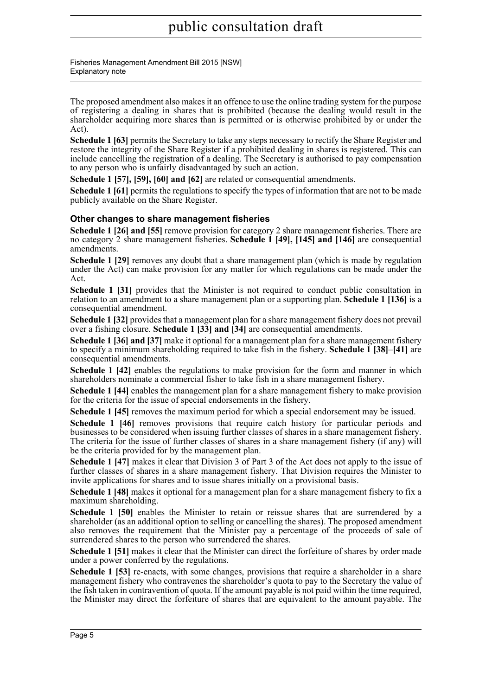Fisheries Management Amendment Bill 2015 [NSW] Explanatory note

The proposed amendment also makes it an offence to use the online trading system for the purpose of registering a dealing in shares that is prohibited (because the dealing would result in the shareholder acquiring more shares than is permitted or is otherwise prohibited by or under the Act).

**Schedule 1 [63]** permits the Secretary to take any steps necessary to rectify the Share Register and restore the integrity of the Share Register if a prohibited dealing in shares is registered. This can include cancelling the registration of a dealing. The Secretary is authorised to pay compensation to any person who is unfairly disadvantaged by such an action.

**Schedule 1 [57], [59], [60] and [62]** are related or consequential amendments.

**Schedule 1 [61]** permits the regulations to specify the types of information that are not to be made publicly available on the Share Register.

## **Other changes to share management fisheries**

**Schedule 1 [26] and [55]** remove provision for category 2 share management fisheries. There are no category 2 share management fisheries. **Schedule 1 [49], [145] and [146]** are consequential amendments.

**Schedule 1 [29]** removes any doubt that a share management plan (which is made by regulation under the Act) can make provision for any matter for which regulations can be made under the Act.

**Schedule 1 [31]** provides that the Minister is not required to conduct public consultation in relation to an amendment to a share management plan or a supporting plan. **Schedule 1 [136]** is a consequential amendment.

**Schedule 1 [32]** provides that a management plan for a share management fishery does not prevail over a fishing closure. **Schedule 1 [33] and [34]** are consequential amendments.

**Schedule 1 [36] and [37]** make it optional for a management plan for a share management fishery to specify a minimum shareholding required to take fish in the fishery. **Schedule 1 [38]–[41]** are consequential amendments.

**Schedule 1 [42]** enables the regulations to make provision for the form and manner in which shareholders nominate a commercial fisher to take fish in a share management fishery.

**Schedule 1 [44]** enables the management plan for a share management fishery to make provision for the criteria for the issue of special endorsements in the fishery.

**Schedule 1 [45]** removes the maximum period for which a special endorsement may be issued.

**Schedule 1 [46]** removes provisions that require catch history for particular periods and businesses to be considered when issuing further classes of shares in a share management fishery. The criteria for the issue of further classes of shares in a share management fishery (if any) will be the criteria provided for by the management plan.

**Schedule 1 [47]** makes it clear that Division 3 of Part 3 of the Act does not apply to the issue of further classes of shares in a share management fishery. That Division requires the Minister to invite applications for shares and to issue shares initially on a provisional basis.

**Schedule 1 [48]** makes it optional for a management plan for a share management fishery to fix a maximum shareholding.

**Schedule 1 [50]** enables the Minister to retain or reissue shares that are surrendered by a shareholder (as an additional option to selling or cancelling the shares). The proposed amendment also removes the requirement that the Minister pay a percentage of the proceeds of sale of surrendered shares to the person who surrendered the shares.

**Schedule 1 [51]** makes it clear that the Minister can direct the forfeiture of shares by order made under a power conferred by the regulations.

**Schedule 1 [53]** re-enacts, with some changes, provisions that require a shareholder in a share management fishery who contravenes the shareholder's quota to pay to the Secretary the value of the fish taken in contravention of quota. If the amount payable is not paid within the time required, the Minister may direct the forfeiture of shares that are equivalent to the amount payable. The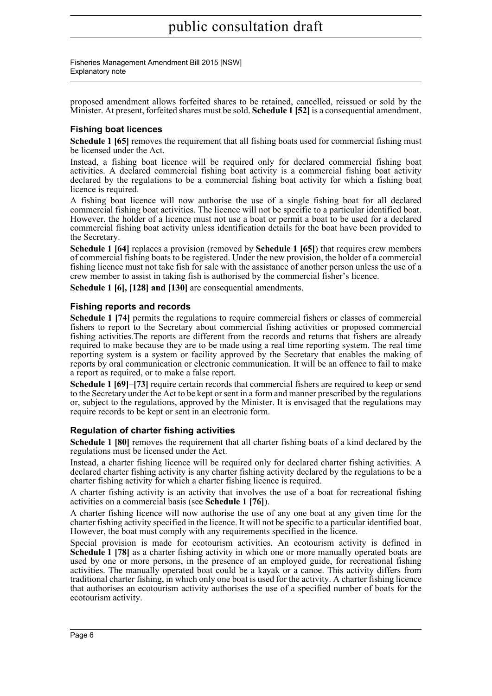Fisheries Management Amendment Bill 2015 [NSW] Explanatory note

proposed amendment allows forfeited shares to be retained, cancelled, reissued or sold by the Minister. At present, forfeited shares must be sold. **Schedule 1 [52]** is a consequential amendment.

## **Fishing boat licences**

**Schedule 1 [65]** removes the requirement that all fishing boats used for commercial fishing must be licensed under the Act.

Instead, a fishing boat licence will be required only for declared commercial fishing boat activities. A declared commercial fishing boat activity is a commercial fishing boat activity declared by the regulations to be a commercial fishing boat activity for which a fishing boat licence is required.

A fishing boat licence will now authorise the use of a single fishing boat for all declared commercial fishing boat activities. The licence will not be specific to a particular identified boat. However, the holder of a licence must not use a boat or permit a boat to be used for a declared commercial fishing boat activity unless identification details for the boat have been provided to the Secretary.

**Schedule 1 [64]** replaces a provision (removed by **Schedule 1 [65]**) that requires crew members of commercial fishing boats to be registered. Under the new provision, the holder of a commercial fishing licence must not take fish for sale with the assistance of another person unless the use of a crew member to assist in taking fish is authorised by the commercial fisher's licence.

**Schedule 1 [6], [128] and [130]** are consequential amendments.

## **Fishing reports and records**

**Schedule 1 [74]** permits the regulations to require commercial fishers or classes of commercial fishers to report to the Secretary about commercial fishing activities or proposed commercial fishing activities.The reports are different from the records and returns that fishers are already required to make because they are to be made using a real time reporting system. The real time reporting system is a system or facility approved by the Secretary that enables the making of reports by oral communication or electronic communication. It will be an offence to fail to make a report as required, or to make a false report.

**Schedule 1 [69]–[73]** require certain records that commercial fishers are required to keep or send to the Secretary under the Act to be kept or sent in a form and manner prescribed by the regulations or, subject to the regulations, approved by the Minister. It is envisaged that the regulations may require records to be kept or sent in an electronic form.

## **Regulation of charter fishing activities**

**Schedule 1 [80]** removes the requirement that all charter fishing boats of a kind declared by the regulations must be licensed under the Act.

Instead, a charter fishing licence will be required only for declared charter fishing activities. A declared charter fishing activity is any charter fishing activity declared by the regulations to be a charter fishing activity for which a charter fishing licence is required.

A charter fishing activity is an activity that involves the use of a boat for recreational fishing activities on a commercial basis (see **Schedule 1 [76]**).

A charter fishing licence will now authorise the use of any one boat at any given time for the charter fishing activity specified in the licence. It will not be specific to a particular identified boat. However, the boat must comply with any requirements specified in the licence.

Special provision is made for ecotourism activities. An ecotourism activity is defined in **Schedule 1 [78]** as a charter fishing activity in which one or more manually operated boats are used by one or more persons, in the presence of an employed guide, for recreational fishing activities. The manually operated boat could be a kayak or a canoe. This activity differs from traditional charter fishing, in which only one boat is used for the activity. A charter fishing licence that authorises an ecotourism activity authorises the use of a specified number of boats for the ecotourism activity.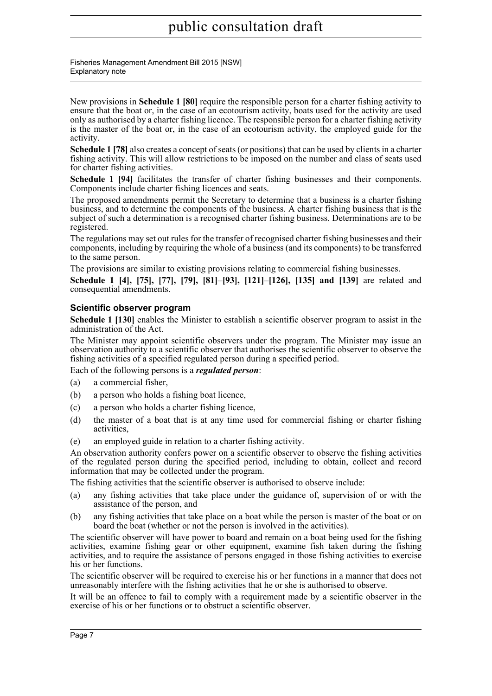Fisheries Management Amendment Bill 2015 [NSW] Explanatory note

New provisions in **Schedule 1 [80]** require the responsible person for a charter fishing activity to ensure that the boat or, in the case of an ecotourism activity, boats used for the activity are used only as authorised by a charter fishing licence. The responsible person for a charter fishing activity is the master of the boat or, in the case of an ecotourism activity, the employed guide for the activity.

**Schedule 1 [78]** also creates a concept of seats (or positions) that can be used by clients in a charter fishing activity. This will allow restrictions to be imposed on the number and class of seats used for charter fishing activities.

**Schedule 1 [94]** facilitates the transfer of charter fishing businesses and their components. Components include charter fishing licences and seats.

The proposed amendments permit the Secretary to determine that a business is a charter fishing business, and to determine the components of the business. A charter fishing business that is the subject of such a determination is a recognised charter fishing business. Determinations are to be registered.

The regulations may set out rules for the transfer of recognised charter fishing businesses and their components, including by requiring the whole of a business (and its components) to be transferred to the same person.

The provisions are similar to existing provisions relating to commercial fishing businesses.

**Schedule 1 [4], [75], [77], [79], [81]–[93], [121]–[126], [135] and [139]** are related and consequential amendments.

## **Scientific observer program**

**Schedule 1 [130]** enables the Minister to establish a scientific observer program to assist in the administration of the Act.

The Minister may appoint scientific observers under the program. The Minister may issue an observation authority to a scientific observer that authorises the scientific observer to observe the fishing activities of a specified regulated person during a specified period.

Each of the following persons is a *regulated person*:

- (a) a commercial fisher,
- (b) a person who holds a fishing boat licence,
- (c) a person who holds a charter fishing licence,
- (d) the master of a boat that is at any time used for commercial fishing or charter fishing activities,
- (e) an employed guide in relation to a charter fishing activity.

An observation authority confers power on a scientific observer to observe the fishing activities of the regulated person during the specified period, including to obtain, collect and record information that may be collected under the program.

The fishing activities that the scientific observer is authorised to observe include:

- (a) any fishing activities that take place under the guidance of, supervision of or with the assistance of the person, and
- (b) any fishing activities that take place on a boat while the person is master of the boat or on board the boat (whether or not the person is involved in the activities).

The scientific observer will have power to board and remain on a boat being used for the fishing activities, examine fishing gear or other equipment, examine fish taken during the fishing activities, and to require the assistance of persons engaged in those fishing activities to exercise his or her functions.

The scientific observer will be required to exercise his or her functions in a manner that does not unreasonably interfere with the fishing activities that he or she is authorised to observe.

It will be an offence to fail to comply with a requirement made by a scientific observer in the exercise of his or her functions or to obstruct a scientific observer.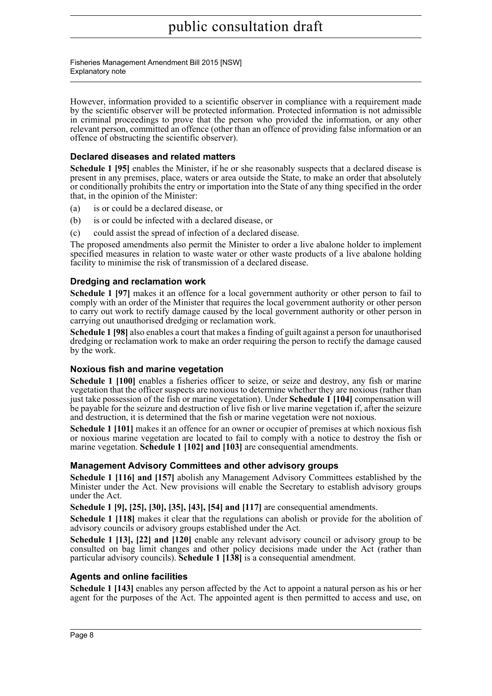Fisheries Management Amendment Bill 2015 [NSW] Explanatory note

However, information provided to a scientific observer in compliance with a requirement made by the scientific observer will be protected information. Protected information is not admissible in criminal proceedings to prove that the person who provided the information, or any other relevant person, committed an offence (other than an offence of providing false information or an offence of obstructing the scientific observer).

## **Declared diseases and related matters**

**Schedule 1 [95]** enables the Minister, if he or she reasonably suspects that a declared disease is present in any premises, place, waters or area outside the State, to make an order that absolutely or conditionally prohibits the entry or importation into the State of any thing specified in the order that, in the opinion of the Minister:

- (a) is or could be a declared disease, or
- (b) is or could be infected with a declared disease, or
- (c) could assist the spread of infection of a declared disease.

The proposed amendments also permit the Minister to order a live abalone holder to implement specified measures in relation to waste water or other waste products of a live abalone holding facility to minimise the risk of transmission of a declared disease.

## **Dredging and reclamation work**

**Schedule 1 [97]** makes it an offence for a local government authority or other person to fail to comply with an order of the Minister that requires the local government authority or other person to carry out work to rectify damage caused by the local government authority or other person in carrying out unauthorised dredging or reclamation work.

**Schedule 1 [98]** also enables a court that makes a finding of guilt against a person for unauthorised dredging or reclamation work to make an order requiring the person to rectify the damage caused by the work.

## **Noxious fish and marine vegetation**

**Schedule 1 [100]** enables a fisheries officer to seize, or seize and destroy, any fish or marine vegetation that the officer suspects are noxious to determine whether they are noxious (rather than just take possession of the fish or marine vegetation). Under **Schedule 1 [104]** compensation will be payable for the seizure and destruction of live fish or live marine vegetation if, after the seizure and destruction, it is determined that the fish or marine vegetation were not noxious.

**Schedule 1 [101]** makes it an offence for an owner or occupier of premises at which noxious fish or noxious marine vegetation are located to fail to comply with a notice to destroy the fish or marine vegetation. **Schedule 1 [102] and [103]** are consequential amendments.

## **Management Advisory Committees and other advisory groups**

**Schedule 1 [116] and [157]** abolish any Management Advisory Committees established by the Minister under the Act. New provisions will enable the Secretary to establish advisory groups under the Act.

**Schedule 1 [9], [25], [30], [35], [43], [54] and [117]** are consequential amendments.

**Schedule 1 [118]** makes it clear that the regulations can abolish or provide for the abolition of advisory councils or advisory groups established under the Act.

**Schedule 1 [13], [22] and [120]** enable any relevant advisory council or advisory group to be consulted on bag limit changes and other policy decisions made under the Act (rather than particular advisory councils). **Schedule 1 [138]** is a consequential amendment.

## **Agents and online facilities**

**Schedule 1 [143]** enables any person affected by the Act to appoint a natural person as his or her agent for the purposes of the Act. The appointed agent is then permitted to access and use, on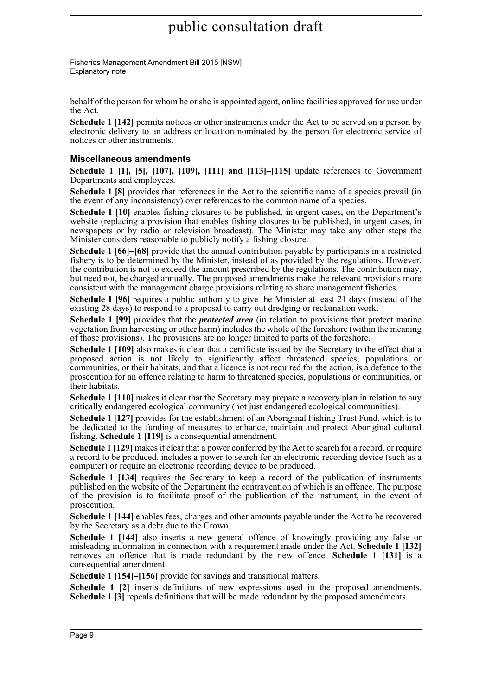Fisheries Management Amendment Bill 2015 [NSW] Explanatory note

behalf of the person for whom he or she is appointed agent, online facilities approved for use under the Act.

**Schedule 1 [142]** permits notices or other instruments under the Act to be served on a person by electronic delivery to an address or location nominated by the person for electronic service of notices or other instruments.

## **Miscellaneous amendments**

**Schedule 1 [1], [5], [107], [109], [111] and [113]–[115]** update references to Government Departments and employees.

**Schedule 1 [8]** provides that references in the Act to the scientific name of a species prevail (in the event of any inconsistency) over references to the common name of a species.

**Schedule 1 [10]** enables fishing closures to be published, in urgent cases, on the Department's website (replacing a provision that enables fishing closures to be published, in urgent cases, in newspapers or by radio or television broadcast). The Minister may take any other steps the Minister considers reasonable to publicly notify a fishing closure.

**Schedule 1 [66]–[68]** provide that the annual contribution payable by participants in a restricted fishery is to be determined by the Minister, instead of as provided by the regulations. However, the contribution is not to exceed the amount prescribed by the regulations. The contribution may, but need not, be charged annually. The proposed amendments make the relevant provisions more consistent with the management charge provisions relating to share management fisheries.

**Schedule 1 [96]** requires a public authority to give the Minister at least 21 days (instead of the existing 28 days) to respond to a proposal to carry out dredging or reclamation work.

**Schedule 1 [99]** provides that the *protected area* (in relation to provisions that protect marine vegetation from harvesting or other harm) includes the whole of the foreshore (within the meaning of those provisions). The provisions are no longer limited to parts of the foreshore.

**Schedule 1 [109]** also makes it clear that a certificate issued by the Secretary to the effect that a proposed action is not likely to significantly affect threatened species, populations or communities, or their habitats, and that a licence is not required for the action, is a defence to the prosecution for an offence relating to harm to threatened species, populations or communities, or their habitats.

**Schedule 1 [110]** makes it clear that the Secretary may prepare a recovery plan in relation to any critically endangered ecological community (not just endangered ecological communities).

**Schedule 1 [127]** provides for the establishment of an Aboriginal Fishing Trust Fund, which is to be dedicated to the funding of measures to enhance, maintain and protect Aboriginal cultural fishing. **Schedule 1 [119]** is a consequential amendment.

**Schedule 1 [129]** makes it clear that a power conferred by the Act to search for a record, or require a record to be produced, includes a power to search for an electronic recording device (such as a computer) or require an electronic recording device to be produced.

**Schedule 1 [134]** requires the Secretary to keep a record of the publication of instruments published on the website of the Department the contravention of which is an offence. The purpose of the provision is to facilitate proof of the publication of the instrument, in the event of prosecution.

**Schedule 1 [144]** enables fees, charges and other amounts payable under the Act to be recovered by the Secretary as a debt due to the Crown.

**Schedule 1 [144]** also inserts a new general offence of knowingly providing any false or misleading information in connection with a requirement made under the Act. **Schedule 1 [132]** removes an offence that is made redundant by the new offence. **Schedule 1 [131]** is a consequential amendment.

**Schedule 1 [154]–[156]** provide for savings and transitional matters.

**Schedule 1 [2]** inserts definitions of new expressions used in the proposed amendments. **Schedule 1 [3]** repeals definitions that will be made redundant by the proposed amendments.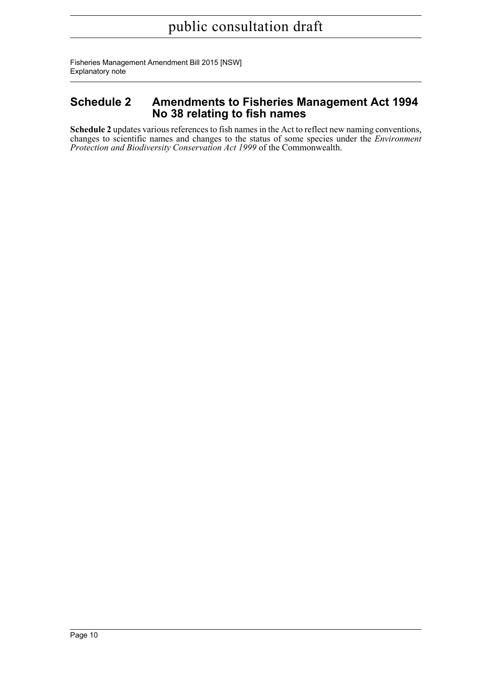Fisheries Management Amendment Bill 2015 [NSW] Explanatory note

## **Schedule 2 Amendments to Fisheries Management Act 1994 No 38 relating to fish names**

**Schedule 2** updates various references to fish names in the Act to reflect new naming conventions, changes to scientific names and changes to the status of some species under the *Environment Protection and Biodiversity Conservation Act 1999* of the Commonwealth.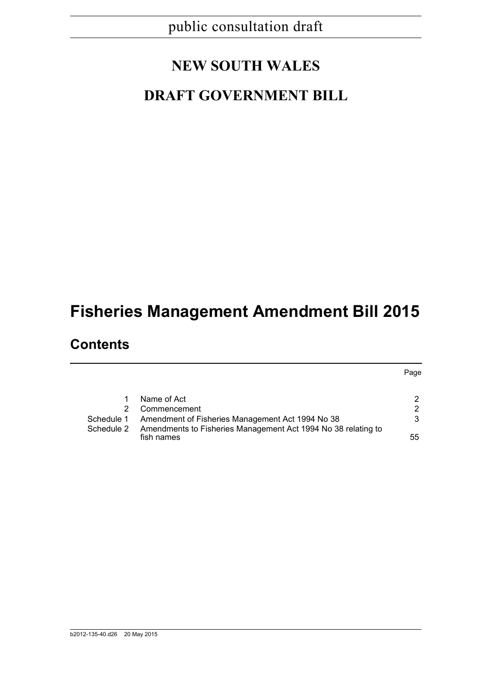# **NEW SOUTH WALES**

# **DRAFT GOVERNMENT BILL**

# **Fisheries Management Amendment Bill 2015**

# **Contents**

|            | Name of Act                                                                 |    |
|------------|-----------------------------------------------------------------------------|----|
| 2.         | Commencement                                                                |    |
| Schedule 1 | Amendment of Fisheries Management Act 1994 No 38                            | 3  |
| Schedule 2 | Amendments to Fisheries Management Act 1994 No 38 relating to<br>fish names | 55 |

Page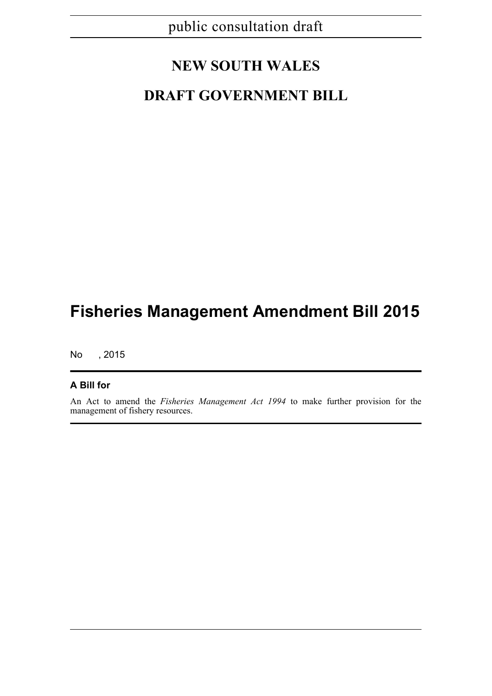## **NEW SOUTH WALES**

## **DRAFT GOVERNMENT BILL**

# **Fisheries Management Amendment Bill 2015**

No , 2015

## **A Bill for**

An Act to amend the *Fisheries Management Act 1994* to make further provision for the management of fishery resources.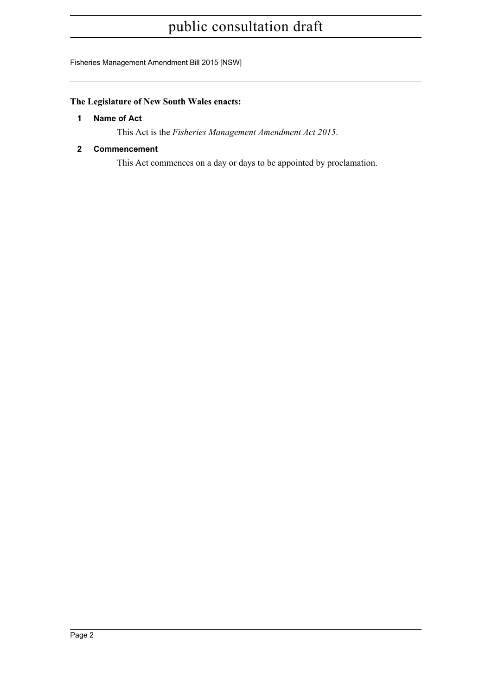Fisheries Management Amendment Bill 2015 [NSW]

## <span id="page-12-0"></span>**The Legislature of New South Wales enacts:**

## **1 Name of Act**

This Act is the *Fisheries Management Amendment Act 2015*.

## <span id="page-12-1"></span>**2 Commencement**

This Act commences on a day or days to be appointed by proclamation.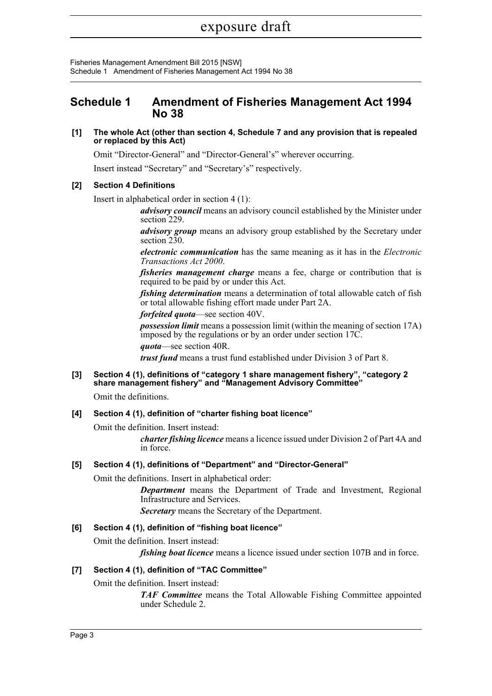Fisheries Management Amendment Bill 2015 [NSW] Schedule 1 Amendment of Fisheries Management Act 1994 No 38

## <span id="page-13-0"></span>**Schedule 1 Amendment of Fisheries Management Act 1994 No 38**

## **[1] The whole Act (other than section 4, Schedule 7 and any provision that is repealed or replaced by this Act)**

Omit "Director-General" and "Director-General's" wherever occurring.

Insert instead "Secretary" and "Secretary's" respectively.

## **[2] Section 4 Definitions**

Insert in alphabetical order in section 4 (1):

*advisory council* means an advisory council established by the Minister under section 229.

*advisory group* means an advisory group established by the Secretary under section 230.

*electronic communication* has the same meaning as it has in the *Electronic Transactions Act 2000*.

*fisheries management charge* means a fee, charge or contribution that is required to be paid by or under this Act.

*fishing determination* means a determination of total allowable catch of fish or total allowable fishing effort made under Part 2A.

*forfeited quota*—see section 40V.

*possession limit* means a possession limit (within the meaning of section 17A) imposed by the regulations or by an order under section 17C.

*quota*—see section 40R.

*trust fund* means a trust fund established under Division 3 of Part 8.

#### **[3] Section 4 (1), definitions of "category 1 share management fishery", "category 2 share management fishery" and "Management Advisory Committee"**

Omit the definitions.

## **[4] Section 4 (1), definition of "charter fishing boat licence"**

Omit the definition. Insert instead:

*charter fishing licence* means a licence issued under Division 2 of Part 4A and in force.

## **[5] Section 4 (1), definitions of "Department" and "Director-General"**

Omit the definitions. Insert in alphabetical order:

*Department* means the Department of Trade and Investment, Regional Infrastructure and Services.

*Secretary* means the Secretary of the Department.

## **[6] Section 4 (1), definition of "fishing boat licence"**

Omit the definition. Insert instead:

*fishing boat licence* means a licence issued under section 107B and in force.

## **[7] Section 4 (1), definition of "TAC Committee"**

Omit the definition. Insert instead:

*TAF Committee* means the Total Allowable Fishing Committee appointed under Schedule 2.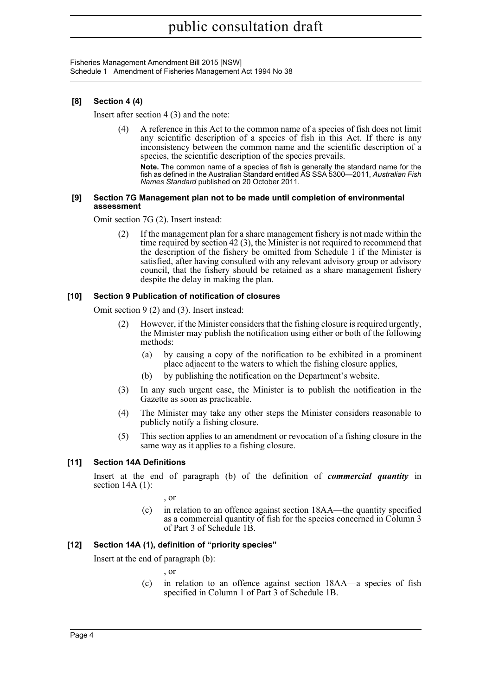Fisheries Management Amendment Bill 2015 [NSW] Schedule 1 Amendment of Fisheries Management Act 1994 No 38

## **[8] Section 4 (4)**

Insert after section 4 (3) and the note:

(4) A reference in this Act to the common name of a species of fish does not limit any scientific description of a species of fish in this Act. If there is any inconsistency between the common name and the scientific description of a species, the scientific description of the species prevails.

**Note.** The common name of a species of fish is generally the standard name for the fish as defined in the Australian Standard entitled AS SSA 5300—2011, *Australian Fish Names Standard* published on 20 October 2011.

#### **[9] Section 7G Management plan not to be made until completion of environmental assessment**

Omit section 7G (2). Insert instead:

If the management plan for a share management fishery is not made within the time required by section 42 (3), the Minister is not required to recommend that the description of the fishery be omitted from Schedule 1 if the Minister is satisfied, after having consulted with any relevant advisory group or advisory council, that the fishery should be retained as a share management fishery despite the delay in making the plan.

## **[10] Section 9 Publication of notification of closures**

Omit section 9 (2) and (3). Insert instead:

- (2) However, if the Minister considers that the fishing closure is required urgently, the Minister may publish the notification using either or both of the following methods:
	- (a) by causing a copy of the notification to be exhibited in a prominent place adjacent to the waters to which the fishing closure applies,
	- (b) by publishing the notification on the Department's website.
- (3) In any such urgent case, the Minister is to publish the notification in the Gazette as soon as practicable.
- (4) The Minister may take any other steps the Minister considers reasonable to publicly notify a fishing closure.
- (5) This section applies to an amendment or revocation of a fishing closure in the same way as it applies to a fishing closure.

## **[11] Section 14A Definitions**

Insert at the end of paragraph (b) of the definition of *commercial quantity* in section 14A (1):

, or

(c) in relation to an offence against section 18AA—the quantity specified as a commercial quantity of fish for the species concerned in Column 3 of Part 3 of Schedule 1B.

## **[12] Section 14A (1), definition of "priority species"**

Insert at the end of paragraph (b):

, or

(c) in relation to an offence against section 18AA—a species of fish specified in Column 1 of Part 3 of Schedule 1B.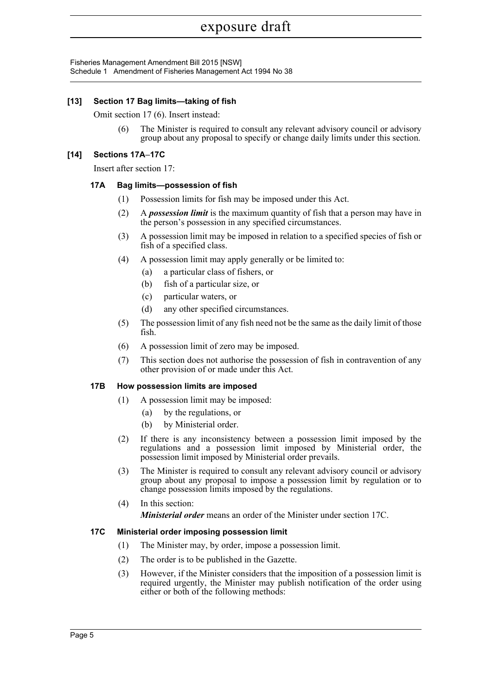Fisheries Management Amendment Bill 2015 [NSW] Schedule 1 Amendment of Fisheries Management Act 1994 No 38

## **[13] Section 17 Bag limits—taking of fish**

Omit section 17 (6). Insert instead:

(6) The Minister is required to consult any relevant advisory council or advisory group about any proposal to specify or change daily limits under this section.

## **[14] Sections 17A–17C**

Insert after section 17:

## **17A Bag limits—possession of fish**

- (1) Possession limits for fish may be imposed under this Act.
- (2) A *possession limit* is the maximum quantity of fish that a person may have in the person's possession in any specified circumstances.
- (3) A possession limit may be imposed in relation to a specified species of fish or fish of a specified class.
- (4) A possession limit may apply generally or be limited to:
	- (a) a particular class of fishers, or
	- (b) fish of a particular size, or
	- (c) particular waters, or
	- (d) any other specified circumstances.
- (5) The possession limit of any fish need not be the same as the daily limit of those fish.
- (6) A possession limit of zero may be imposed.
- (7) This section does not authorise the possession of fish in contravention of any other provision of or made under this Act.

## **17B How possession limits are imposed**

- (1) A possession limit may be imposed:
	- (a) by the regulations, or
	- (b) by Ministerial order.
- (2) If there is any inconsistency between a possession limit imposed by the regulations and a possession limit imposed by Ministerial order, the possession limit imposed by Ministerial order prevails.
- (3) The Minister is required to consult any relevant advisory council or advisory group about any proposal to impose a possession limit by regulation or to change possession limits imposed by the regulations.
- (4) In this section: *Ministerial order* means an order of the Minister under section 17C.

## **17C Ministerial order imposing possession limit**

- (1) The Minister may, by order, impose a possession limit.
- (2) The order is to be published in the Gazette.
- (3) However, if the Minister considers that the imposition of a possession limit is required urgently, the Minister may publish notification of the order using either or both of the following methods: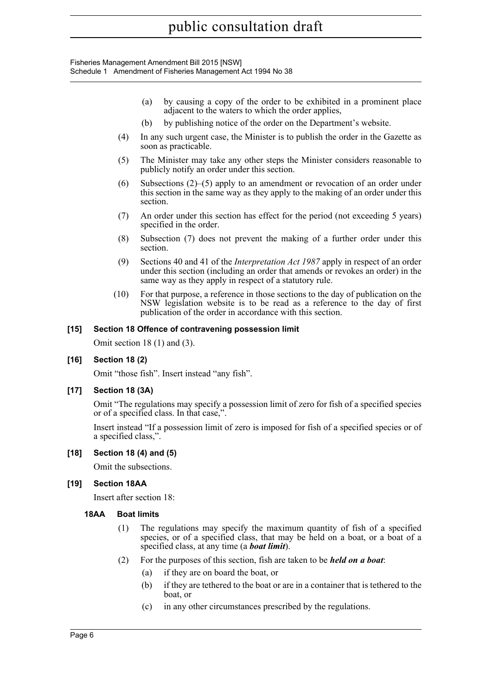Fisheries Management Amendment Bill 2015 [NSW] Schedule 1 Amendment of Fisheries Management Act 1994 No 38

- (a) by causing a copy of the order to be exhibited in a prominent place adjacent to the waters to which the order applies,
- (b) by publishing notice of the order on the Department's website.
- (4) In any such urgent case, the Minister is to publish the order in the Gazette as soon as practicable.
- (5) The Minister may take any other steps the Minister considers reasonable to publicly notify an order under this section.
- (6) Subsections  $(2)$ –(5) apply to an amendment or revocation of an order under this section in the same way as they apply to the making of an order under this section.
- (7) An order under this section has effect for the period (not exceeding 5 years) specified in the order.
- (8) Subsection (7) does not prevent the making of a further order under this section.
- (9) Sections 40 and 41 of the *Interpretation Act 1987* apply in respect of an order under this section (including an order that amends or revokes an order) in the same way as they apply in respect of a statutory rule.
- (10) For that purpose, a reference in those sections to the day of publication on the NSW legislation website is to be read as a reference to the day of first publication of the order in accordance with this section.

## **[15] Section 18 Offence of contravening possession limit**

Omit section 18 (1) and (3).

## **[16] Section 18 (2)**

Omit "those fish". Insert instead "any fish".

## **[17] Section 18 (3A)**

Omit "The regulations may specify a possession limit of zero for fish of a specified species or of a specified class. In that case,".

Insert instead "If a possession limit of zero is imposed for fish of a specified species or of a specified class,".

#### **[18] Section 18 (4) and (5)**

Omit the subsections.

## **[19] Section 18AA**

Insert after section 18:

#### **18AA Boat limits**

- (1) The regulations may specify the maximum quantity of fish of a specified species, or of a specified class, that may be held on a boat, or a boat of a specified class, at any time (a *boat limit*).
- (2) For the purposes of this section, fish are taken to be *held on a boat*:
	- (a) if they are on board the boat, or
	- (b) if they are tethered to the boat or are in a container that is tethered to the boat, or
	- (c) in any other circumstances prescribed by the regulations.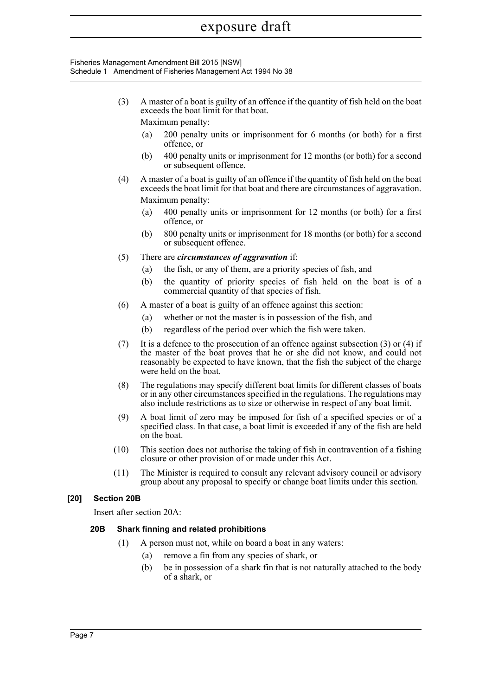#### Fisheries Management Amendment Bill 2015 [NSW] Schedule 1 Amendment of Fisheries Management Act 1994 No 38

(3) A master of a boat is guilty of an offence if the quantity of fish held on the boat exceeds the boat limit for that boat.

Maximum penalty:

- (a) 200 penalty units or imprisonment for 6 months (or both) for a first offence, or
- (b) 400 penalty units or imprisonment for 12 months (or both) for a second or subsequent offence.
- (4) A master of a boat is guilty of an offence if the quantity of fish held on the boat exceeds the boat limit for that boat and there are circumstances of aggravation. Maximum penalty:
	- (a) 400 penalty units or imprisonment for 12 months (or both) for a first offence, or
	- (b) 800 penalty units or imprisonment for 18 months (or both) for a second or subsequent offence.
- (5) There are *circumstances of aggravation* if:
	- (a) the fish, or any of them, are a priority species of fish, and
	- (b) the quantity of priority species of fish held on the boat is of a commercial quantity of that species of fish.
- (6) A master of a boat is guilty of an offence against this section:
	- (a) whether or not the master is in possession of the fish, and
	- (b) regardless of the period over which the fish were taken.
- (7) It is a defence to the prosecution of an offence against subsection (3) or (4) if the master of the boat proves that he or she did not know, and could not reasonably be expected to have known, that the fish the subject of the charge were held on the boat.
- (8) The regulations may specify different boat limits for different classes of boats or in any other circumstances specified in the regulations. The regulations may also include restrictions as to size or otherwise in respect of any boat limit.
- (9) A boat limit of zero may be imposed for fish of a specified species or of a specified class. In that case, a boat limit is exceeded if any of the fish are held on the boat.
- (10) This section does not authorise the taking of fish in contravention of a fishing closure or other provision of or made under this Act.
- (11) The Minister is required to consult any relevant advisory council or advisory group about any proposal to specify or change boat limits under this section.

## **[20] Section 20B**

Insert after section 20A:

## **20B Shark finning and related prohibitions**

- (1) A person must not, while on board a boat in any waters:
	- (a) remove a fin from any species of shark, or
	- (b) be in possession of a shark fin that is not naturally attached to the body of a shark, or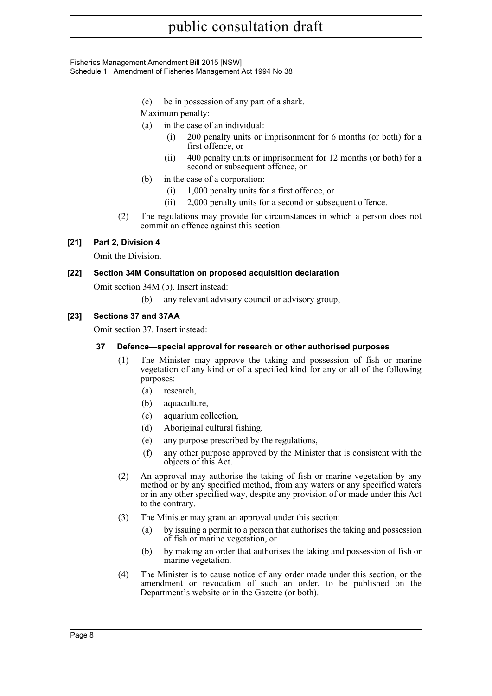Fisheries Management Amendment Bill 2015 [NSW] Schedule 1 Amendment of Fisheries Management Act 1994 No 38

- (c) be in possession of any part of a shark.
- Maximum penalty:
- (a) in the case of an individual:
	- (i) 200 penalty units or imprisonment for 6 months (or both) for a first offence, or
	- (ii) 400 penalty units or imprisonment for 12 months (or both) for a second or subsequent offence, or
- (b) in the case of a corporation:
	- (i) 1,000 penalty units for a first offence, or
	- (ii) 2,000 penalty units for a second or subsequent offence.
- (2) The regulations may provide for circumstances in which a person does not commit an offence against this section.

## **[21] Part 2, Division 4**

Omit the Division.

## **[22] Section 34M Consultation on proposed acquisition declaration**

Omit section 34M (b). Insert instead:

(b) any relevant advisory council or advisory group,

## **[23] Sections 37 and 37AA**

Omit section 37. Insert instead:

## **37 Defence—special approval for research or other authorised purposes**

- (1) The Minister may approve the taking and possession of fish or marine vegetation of any kind or of a specified kind for any or all of the following purposes:
	- (a) research,
	- (b) aquaculture,
	- (c) aquarium collection,
	- (d) Aboriginal cultural fishing,
	- (e) any purpose prescribed by the regulations,
	- (f) any other purpose approved by the Minister that is consistent with the objects of this Act.
- (2) An approval may authorise the taking of fish or marine vegetation by any method or by any specified method, from any waters or any specified waters or in any other specified way, despite any provision of or made under this Act to the contrary.
- (3) The Minister may grant an approval under this section:
	- (a) by issuing a permit to a person that authorises the taking and possession of fish or marine vegetation, or
	- (b) by making an order that authorises the taking and possession of fish or marine vegetation.
- (4) The Minister is to cause notice of any order made under this section, or the amendment or revocation of such an order, to be published on the Department's website or in the Gazette (or both).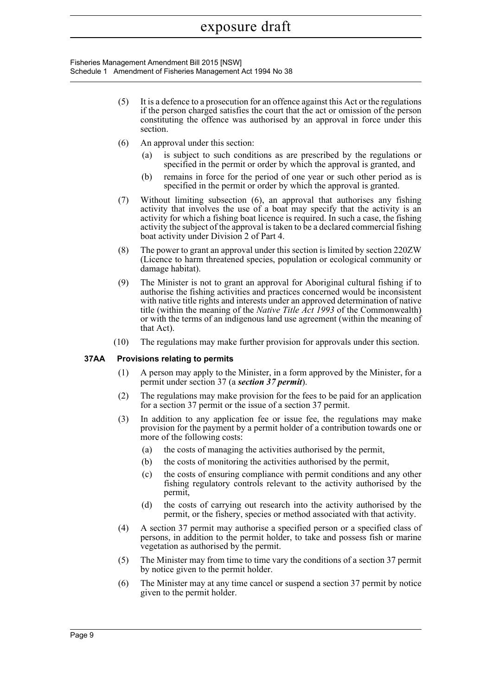Fisheries Management Amendment Bill 2015 [NSW] Schedule 1 Amendment of Fisheries Management Act 1994 No 38

- (5) It is a defence to a prosecution for an offence against this Act or the regulations if the person charged satisfies the court that the act or omission of the person constituting the offence was authorised by an approval in force under this section.
- (6) An approval under this section:
	- is subject to such conditions as are prescribed by the regulations or specified in the permit or order by which the approval is granted, and
	- (b) remains in force for the period of one year or such other period as is specified in the permit or order by which the approval is granted.
- (7) Without limiting subsection (6), an approval that authorises any fishing activity that involves the use of a boat may specify that the activity is an activity for which a fishing boat licence is required. In such a case, the fishing activity the subject of the approval is taken to be a declared commercial fishing boat activity under Division 2 of Part 4.
- (8) The power to grant an approval under this section is limited by section 220ZW (Licence to harm threatened species, population or ecological community or damage habitat).
- (9) The Minister is not to grant an approval for Aboriginal cultural fishing if to authorise the fishing activities and practices concerned would be inconsistent with native title rights and interests under an approved determination of native title (within the meaning of the *Native Title Act 1993* of the Commonwealth) or with the terms of an indigenous land use agreement (within the meaning of that Act).
- (10) The regulations may make further provision for approvals under this section.

#### **37AA Provisions relating to permits**

- (1) A person may apply to the Minister, in a form approved by the Minister, for a permit under section 37 (a *section 37 permit*).
- (2) The regulations may make provision for the fees to be paid for an application for a section 37 permit or the issue of a section 37 permit.
- (3) In addition to any application fee or issue fee, the regulations may make provision for the payment by a permit holder of a contribution towards one or more of the following costs:
	- (a) the costs of managing the activities authorised by the permit,
	- (b) the costs of monitoring the activities authorised by the permit,
	- (c) the costs of ensuring compliance with permit conditions and any other fishing regulatory controls relevant to the activity authorised by the permit,
	- (d) the costs of carrying out research into the activity authorised by the permit, or the fishery, species or method associated with that activity.
- (4) A section 37 permit may authorise a specified person or a specified class of persons, in addition to the permit holder, to take and possess fish or marine vegetation as authorised by the permit.
- (5) The Minister may from time to time vary the conditions of a section 37 permit by notice given to the permit holder.
- (6) The Minister may at any time cancel or suspend a section 37 permit by notice given to the permit holder.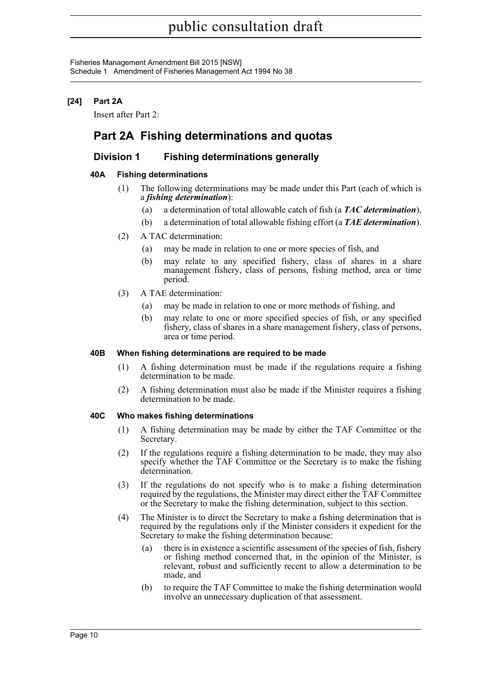Fisheries Management Amendment Bill 2015 [NSW] Schedule 1 Amendment of Fisheries Management Act 1994 No 38

## **[24] Part 2A**

Insert after Part 2:

## **Part 2A Fishing determinations and quotas**

## **Division 1 Fishing determinations generally**

## **40A Fishing determinations**

- (1) The following determinations may be made under this Part (each of which is a *fishing determination*):
	- (a) a determination of total allowable catch of fish (a *TAC determination*),
	- (b) a determination of total allowable fishing effort (a *TAE determination*).
- (2) A TAC determination:
	- (a) may be made in relation to one or more species of fish, and
	- (b) may relate to any specified fishery, class of shares in a share management fishery, class of persons, fishing method, area or time period.
- (3) A TAE determination:
	- (a) may be made in relation to one or more methods of fishing, and
	- (b) may relate to one or more specified species of fish, or any specified fishery, class of shares in a share management fishery, class of persons, area or time period.

## **40B When fishing determinations are required to be made**

- (1) A fishing determination must be made if the regulations require a fishing determination to be made.
- (2) A fishing determination must also be made if the Minister requires a fishing determination to be made.

## **40C Who makes fishing determinations**

- (1) A fishing determination may be made by either the TAF Committee or the Secretary.
- (2) If the regulations require a fishing determination to be made, they may also specify whether the TAF Committee or the Secretary is to make the fishing determination.
- (3) If the regulations do not specify who is to make a fishing determination required by the regulations, the Minister may direct either the TAF Committee or the Secretary to make the fishing determination, subject to this section.
- (4) The Minister is to direct the Secretary to make a fishing determination that is required by the regulations only if the Minister considers it expedient for the Secretary to make the fishing determination because:
	- (a) there is in existence a scientific assessment of the species of fish, fishery or fishing method concerned that, in the opinion of the Minister, is relevant, robust and sufficiently recent to allow a determination to be made, and
	- (b) to require the TAF Committee to make the fishing determination would involve an unnecessary duplication of that assessment.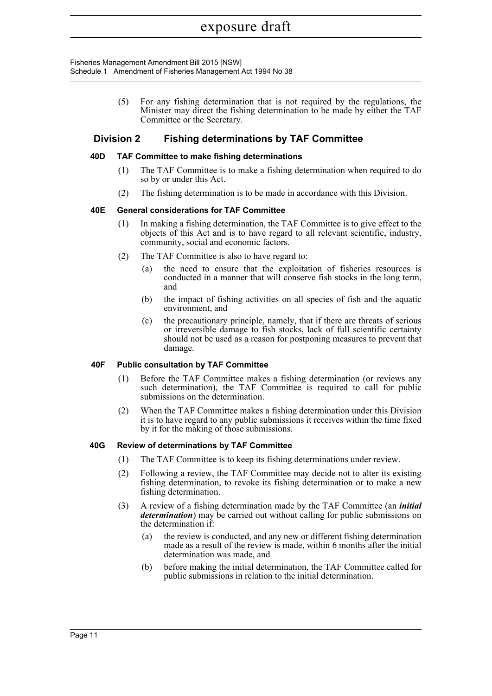Fisheries Management Amendment Bill 2015 [NSW] Schedule 1 Amendment of Fisheries Management Act 1994 No 38

> (5) For any fishing determination that is not required by the regulations, the Minister may direct the fishing determination to be made by either the TAF Committee or the Secretary.

## **Division 2 Fishing determinations by TAF Committee**

## **40D TAF Committee to make fishing determinations**

- (1) The TAF Committee is to make a fishing determination when required to do so by or under this Act.
- (2) The fishing determination is to be made in accordance with this Division.

#### **40E General considerations for TAF Committee**

- (1) In making a fishing determination, the TAF Committee is to give effect to the objects of this Act and is to have regard to all relevant scientific, industry, community, social and economic factors.
- (2) The TAF Committee is also to have regard to:
	- (a) the need to ensure that the exploitation of fisheries resources is conducted in a manner that will conserve fish stocks in the long term, and
	- (b) the impact of fishing activities on all species of fish and the aquatic environment, and
	- (c) the precautionary principle, namely, that if there are threats of serious or irreversible damage to fish stocks, lack of full scientific certainty should not be used as a reason for postponing measures to prevent that damage.

#### **40F Public consultation by TAF Committee**

- (1) Before the TAF Committee makes a fishing determination (or reviews any such determination), the TAF Committee is required to call for public submissions on the determination.
- (2) When the TAF Committee makes a fishing determination under this Division it is to have regard to any public submissions it receives within the time fixed by it for the making of those submissions.

#### **40G Review of determinations by TAF Committee**

- (1) The TAF Committee is to keep its fishing determinations under review.
- (2) Following a review, the TAF Committee may decide not to alter its existing fishing determination, to revoke its fishing determination or to make a new fishing determination.
- (3) A review of a fishing determination made by the TAF Committee (an *initial determination*) may be carried out without calling for public submissions on the determination if:
	- (a) the review is conducted, and any new or different fishing determination made as a result of the review is made, within 6 months after the initial determination was made, and
	- (b) before making the initial determination, the TAF Committee called for public submissions in relation to the initial determination.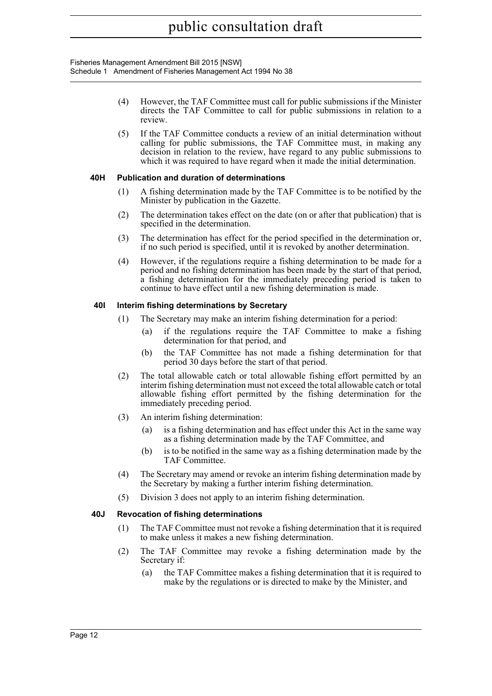Fisheries Management Amendment Bill 2015 [NSW] Schedule 1 Amendment of Fisheries Management Act 1994 No 38

- (4) However, the TAF Committee must call for public submissions if the Minister directs the TAF Committee to call for public submissions in relation to a review.
- (5) If the TAF Committee conducts a review of an initial determination without calling for public submissions, the TAF Committee must, in making any decision in relation to the review, have regard to any public submissions to which it was required to have regard when it made the initial determination.

## **40H Publication and duration of determinations**

- (1) A fishing determination made by the TAF Committee is to be notified by the Minister by publication in the Gazette.
- (2) The determination takes effect on the date (on or after that publication) that is specified in the determination.
- (3) The determination has effect for the period specified in the determination or, if no such period is specified, until it is revoked by another determination.
- (4) However, if the regulations require a fishing determination to be made for a period and no fishing determination has been made by the start of that period, a fishing determination for the immediately preceding period is taken to continue to have effect until a new fishing determination is made.

## **40I Interim fishing determinations by Secretary**

- (1) The Secretary may make an interim fishing determination for a period:
	- (a) if the regulations require the TAF Committee to make a fishing determination for that period, and
	- (b) the TAF Committee has not made a fishing determination for that period 30 days before the start of that period.
- (2) The total allowable catch or total allowable fishing effort permitted by an interim fishing determination must not exceed the total allowable catch or total allowable fishing effort permitted by the fishing determination for the immediately preceding period.
- (3) An interim fishing determination:
	- (a) is a fishing determination and has effect under this Act in the same way as a fishing determination made by the TAF Committee, and
	- (b) is to be notified in the same way as a fishing determination made by the TAF Committee.
- (4) The Secretary may amend or revoke an interim fishing determination made by the Secretary by making a further interim fishing determination.
- (5) Division 3 does not apply to an interim fishing determination.

## **40J Revocation of fishing determinations**

- (1) The TAF Committee must not revoke a fishing determination that it is required to make unless it makes a new fishing determination.
- (2) The TAF Committee may revoke a fishing determination made by the Secretary if:
	- (a) the TAF Committee makes a fishing determination that it is required to make by the regulations or is directed to make by the Minister, and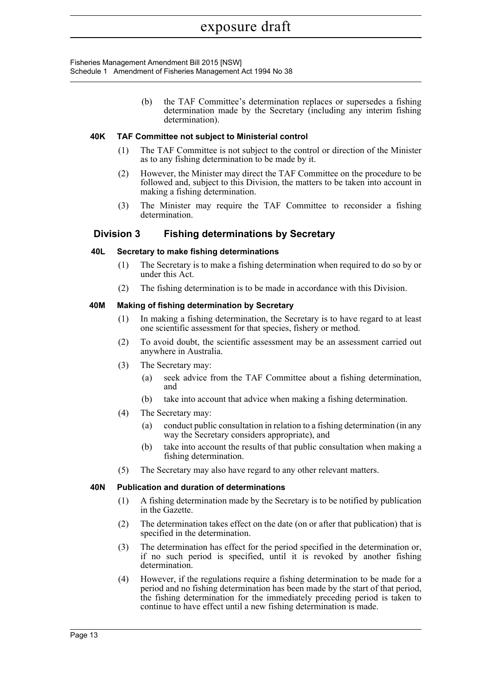Fisheries Management Amendment Bill 2015 [NSW] Schedule 1 Amendment of Fisheries Management Act 1994 No 38

> (b) the TAF Committee's determination replaces or supersedes a fishing determination made by the Secretary (including any interim fishing determination).

#### **40K TAF Committee not subject to Ministerial control**

- (1) The TAF Committee is not subject to the control or direction of the Minister as to any fishing determination to be made by it.
- (2) However, the Minister may direct the TAF Committee on the procedure to be followed and, subject to this Division, the matters to be taken into account in making a fishing determination.
- (3) The Minister may require the TAF Committee to reconsider a fishing determination.

## **Division 3 Fishing determinations by Secretary**

#### **40L Secretary to make fishing determinations**

- (1) The Secretary is to make a fishing determination when required to do so by or under this Act.
- (2) The fishing determination is to be made in accordance with this Division.

#### **40M Making of fishing determination by Secretary**

- (1) In making a fishing determination, the Secretary is to have regard to at least one scientific assessment for that species, fishery or method.
- (2) To avoid doubt, the scientific assessment may be an assessment carried out anywhere in Australia.
- (3) The Secretary may:
	- (a) seek advice from the TAF Committee about a fishing determination, and
	- (b) take into account that advice when making a fishing determination.
- (4) The Secretary may:
	- (a) conduct public consultation in relation to a fishing determination (in any way the Secretary considers appropriate), and
	- (b) take into account the results of that public consultation when making a fishing determination.
- (5) The Secretary may also have regard to any other relevant matters.

#### **40N Publication and duration of determinations**

- (1) A fishing determination made by the Secretary is to be notified by publication in the Gazette.
- (2) The determination takes effect on the date (on or after that publication) that is specified in the determination.
- (3) The determination has effect for the period specified in the determination or, if no such period is specified, until it is revoked by another fishing determination.
- (4) However, if the regulations require a fishing determination to be made for a period and no fishing determination has been made by the start of that period, the fishing determination for the immediately preceding period is taken to continue to have effect until a new fishing determination is made.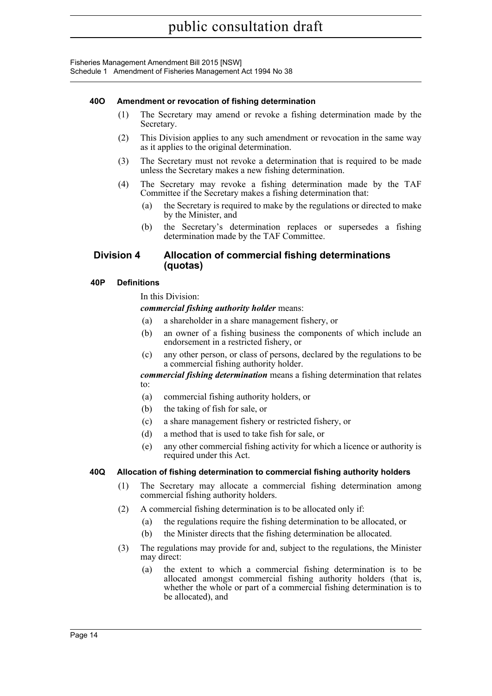Fisheries Management Amendment Bill 2015 [NSW] Schedule 1 Amendment of Fisheries Management Act 1994 No 38

## **40O Amendment or revocation of fishing determination**

- (1) The Secretary may amend or revoke a fishing determination made by the Secretary.
- (2) This Division applies to any such amendment or revocation in the same way as it applies to the original determination.
- (3) The Secretary must not revoke a determination that is required to be made unless the Secretary makes a new fishing determination.
- (4) The Secretary may revoke a fishing determination made by the TAF Committee if the Secretary makes a fishing determination that:
	- (a) the Secretary is required to make by the regulations or directed to make by the Minister, and
	- (b) the Secretary's determination replaces or supersedes a fishing determination made by the TAF Committee.

## **Division 4 Allocation of commercial fishing determinations (quotas)**

#### **40P Definitions**

In this Division:

*commercial fishing authority holder* means:

- (a) a shareholder in a share management fishery, or
- (b) an owner of a fishing business the components of which include an endorsement in a restricted fishery, or
- (c) any other person, or class of persons, declared by the regulations to be a commercial fishing authority holder.

*commercial fishing determination* means a fishing determination that relates to:

- (a) commercial fishing authority holders, or
- (b) the taking of fish for sale, or
- (c) a share management fishery or restricted fishery, or
- (d) a method that is used to take fish for sale, or
- (e) any other commercial fishing activity for which a licence or authority is required under this Act.

## **40Q Allocation of fishing determination to commercial fishing authority holders**

- (1) The Secretary may allocate a commercial fishing determination among commercial fishing authority holders.
- (2) A commercial fishing determination is to be allocated only if:
	- (a) the regulations require the fishing determination to be allocated, or
	- (b) the Minister directs that the fishing determination be allocated.
- (3) The regulations may provide for and, subject to the regulations, the Minister may direct:
	- (a) the extent to which a commercial fishing determination is to be allocated amongst commercial fishing authority holders (that is, whether the whole or part of a commercial fishing determination is to be allocated), and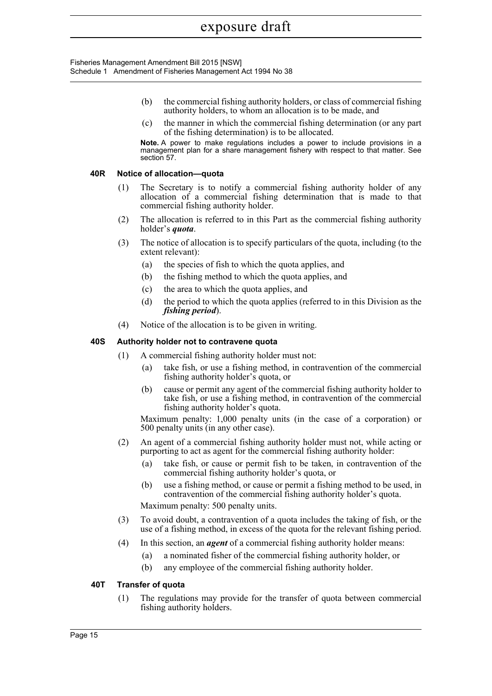Fisheries Management Amendment Bill 2015 [NSW] Schedule 1 Amendment of Fisheries Management Act 1994 No 38

- (b) the commercial fishing authority holders, or class of commercial fishing authority holders, to whom an allocation is to be made, and
- (c) the manner in which the commercial fishing determination (or any part of the fishing determination) is to be allocated.

**Note.** A power to make regulations includes a power to include provisions in a management plan for a share management fishery with respect to that matter. See section 57.

#### **40R Notice of allocation—quota**

- (1) The Secretary is to notify a commercial fishing authority holder of any allocation of a commercial fishing determination that is made to that commercial fishing authority holder.
- (2) The allocation is referred to in this Part as the commercial fishing authority holder's *quota*.
- (3) The notice of allocation is to specify particulars of the quota, including (to the extent relevant):
	- (a) the species of fish to which the quota applies, and
	- (b) the fishing method to which the quota applies, and
	- (c) the area to which the quota applies, and
	- (d) the period to which the quota applies (referred to in this Division as the *fishing period*).
- (4) Notice of the allocation is to be given in writing.

#### **40S Authority holder not to contravene quota**

- (1) A commercial fishing authority holder must not:
	- (a) take fish, or use a fishing method, in contravention of the commercial fishing authority holder's quota, or
	- (b) cause or permit any agent of the commercial fishing authority holder to take fish, or use a fishing method, in contravention of the commercial fishing authority holder's quota.

Maximum penalty: 1,000 penalty units (in the case of a corporation) or 500 penalty units (in any other case).

- (2) An agent of a commercial fishing authority holder must not, while acting or purporting to act as agent for the commercial fishing authority holder:
	- (a) take fish, or cause or permit fish to be taken, in contravention of the commercial fishing authority holder's quota, or
	- (b) use a fishing method, or cause or permit a fishing method to be used, in contravention of the commercial fishing authority holder's quota.

Maximum penalty: 500 penalty units.

- (3) To avoid doubt, a contravention of a quota includes the taking of fish, or the use of a fishing method, in excess of the quota for the relevant fishing period.
- (4) In this section, an *agent* of a commercial fishing authority holder means:
	- (a) a nominated fisher of the commercial fishing authority holder, or
	- (b) any employee of the commercial fishing authority holder.

#### **40T Transfer of quota**

(1) The regulations may provide for the transfer of quota between commercial fishing authority holders.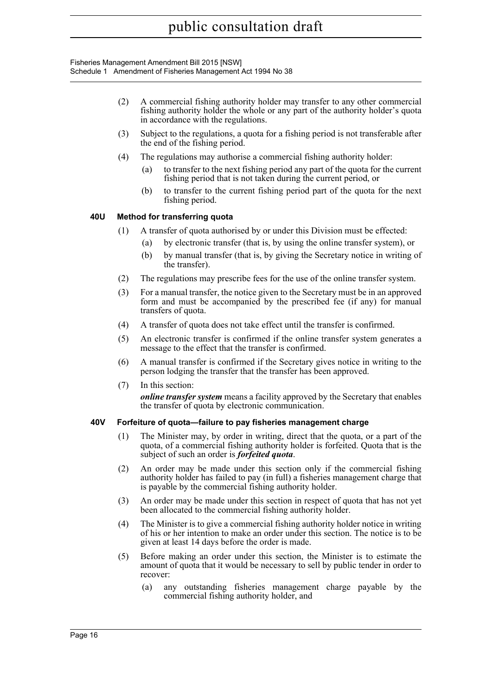Fisheries Management Amendment Bill 2015 [NSW] Schedule 1 Amendment of Fisheries Management Act 1994 No 38

- (2) A commercial fishing authority holder may transfer to any other commercial fishing authority holder the whole or any part of the authority holder's quota in accordance with the regulations.
- (3) Subject to the regulations, a quota for a fishing period is not transferable after the end of the fishing period.
- (4) The regulations may authorise a commercial fishing authority holder:
	- (a) to transfer to the next fishing period any part of the quota for the current fishing period that is not taken during the current period, or
	- (b) to transfer to the current fishing period part of the quota for the next fishing period.

## **40U Method for transferring quota**

- (1) A transfer of quota authorised by or under this Division must be effected:
	- (a) by electronic transfer (that is, by using the online transfer system), or
	- (b) by manual transfer (that is, by giving the Secretary notice in writing of the transfer).
- (2) The regulations may prescribe fees for the use of the online transfer system.
- (3) For a manual transfer, the notice given to the Secretary must be in an approved form and must be accompanied by the prescribed fee (if any) for manual transfers of quota.
- (4) A transfer of quota does not take effect until the transfer is confirmed.
- (5) An electronic transfer is confirmed if the online transfer system generates a message to the effect that the transfer is confirmed.
- (6) A manual transfer is confirmed if the Secretary gives notice in writing to the person lodging the transfer that the transfer has been approved.
- (7) In this section:

*online transfer system* means a facility approved by the Secretary that enables the transfer of quota by electronic communication.

## **40V Forfeiture of quota—failure to pay fisheries management charge**

- (1) The Minister may, by order in writing, direct that the quota, or a part of the quota, of a commercial fishing authority holder is forfeited. Quota that is the subject of such an order is *forfeited quota*.
- (2) An order may be made under this section only if the commercial fishing authority holder has failed to pay (in full) a fisheries management charge that is payable by the commercial fishing authority holder.
- (3) An order may be made under this section in respect of quota that has not yet been allocated to the commercial fishing authority holder.
- (4) The Minister is to give a commercial fishing authority holder notice in writing of his or her intention to make an order under this section. The notice is to be given at least 14 days before the order is made.
- (5) Before making an order under this section, the Minister is to estimate the amount of quota that it would be necessary to sell by public tender in order to recover:
	- (a) any outstanding fisheries management charge payable by the commercial fishing authority holder, and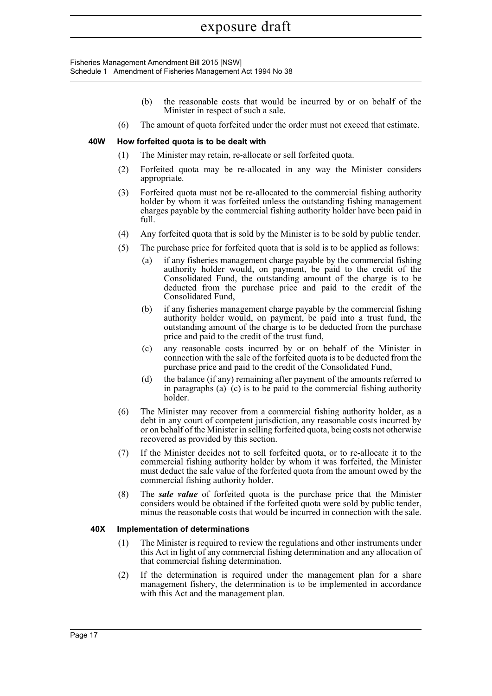Fisheries Management Amendment Bill 2015 [NSW] Schedule 1 Amendment of Fisheries Management Act 1994 No 38

- (b) the reasonable costs that would be incurred by or on behalf of the Minister in respect of such a sale.
- (6) The amount of quota forfeited under the order must not exceed that estimate.

#### **40W How forfeited quota is to be dealt with**

- (1) The Minister may retain, re-allocate or sell forfeited quota.
- (2) Forfeited quota may be re-allocated in any way the Minister considers appropriate.
- (3) Forfeited quota must not be re-allocated to the commercial fishing authority holder by whom it was forfeited unless the outstanding fishing management charges payable by the commercial fishing authority holder have been paid in full.
- (4) Any forfeited quota that is sold by the Minister is to be sold by public tender.
- (5) The purchase price for forfeited quota that is sold is to be applied as follows:
	- (a) if any fisheries management charge payable by the commercial fishing authority holder would, on payment, be paid to the credit of the Consolidated Fund, the outstanding amount of the charge is to be deducted from the purchase price and paid to the credit of the Consolidated Fund,
	- (b) if any fisheries management charge payable by the commercial fishing authority holder would, on payment, be paid into a trust fund, the outstanding amount of the charge is to be deducted from the purchase price and paid to the credit of the trust fund,
	- (c) any reasonable costs incurred by or on behalf of the Minister in connection with the sale of the forfeited quota is to be deducted from the purchase price and paid to the credit of the Consolidated Fund,
	- (d) the balance (if any) remaining after payment of the amounts referred to in paragraphs  $(a)$ – $(c)$  is to be paid to the commercial fishing authority holder.
- (6) The Minister may recover from a commercial fishing authority holder, as a debt in any court of competent jurisdiction, any reasonable costs incurred by or on behalf of the Minister in selling forfeited quota, being costs not otherwise recovered as provided by this section.
- (7) If the Minister decides not to sell forfeited quota, or to re-allocate it to the commercial fishing authority holder by whom it was forfeited, the Minister must deduct the sale value of the forfeited quota from the amount owed by the commercial fishing authority holder.
- (8) The *sale value* of forfeited quota is the purchase price that the Minister considers would be obtained if the forfeited quota were sold by public tender, minus the reasonable costs that would be incurred in connection with the sale.

## **40X Implementation of determinations**

- (1) The Minister is required to review the regulations and other instruments under this Act in light of any commercial fishing determination and any allocation of that commercial fishing determination.
- (2) If the determination is required under the management plan for a share management fishery, the determination is to be implemented in accordance with this Act and the management plan.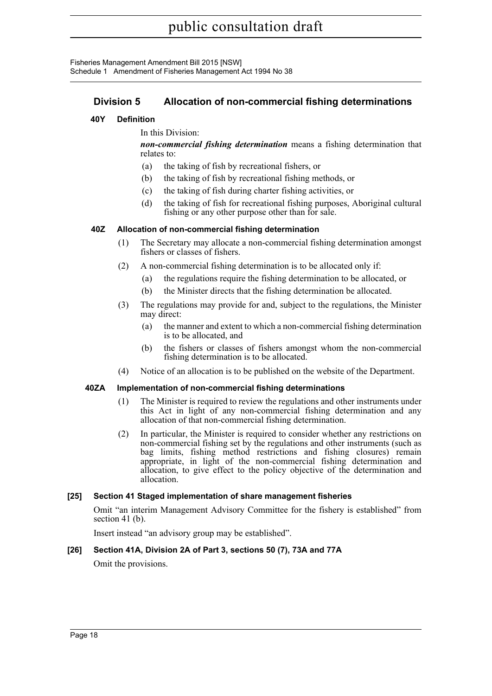Fisheries Management Amendment Bill 2015 [NSW] Schedule 1 Amendment of Fisheries Management Act 1994 No 38

## **Division 5 Allocation of non-commercial fishing determinations**

## **40Y Definition**

In this Division:

*non-commercial fishing determination* means a fishing determination that relates to:

- (a) the taking of fish by recreational fishers, or
- (b) the taking of fish by recreational fishing methods, or
- (c) the taking of fish during charter fishing activities, or
- (d) the taking of fish for recreational fishing purposes, Aboriginal cultural fishing or any other purpose other than for sale.

## **40Z Allocation of non-commercial fishing determination**

- (1) The Secretary may allocate a non-commercial fishing determination amongst fishers or classes of fishers.
- (2) A non-commercial fishing determination is to be allocated only if:
	- (a) the regulations require the fishing determination to be allocated, or
	- (b) the Minister directs that the fishing determination be allocated.
- (3) The regulations may provide for and, subject to the regulations, the Minister may direct:
	- (a) the manner and extent to which a non-commercial fishing determination is to be allocated, and
	- (b) the fishers or classes of fishers amongst whom the non-commercial fishing determination is to be allocated.
- (4) Notice of an allocation is to be published on the website of the Department.

## **40ZA Implementation of non-commercial fishing determinations**

- (1) The Minister is required to review the regulations and other instruments under this Act in light of any non-commercial fishing determination and any allocation of that non-commercial fishing determination.
- (2) In particular, the Minister is required to consider whether any restrictions on non-commercial fishing set by the regulations and other instruments (such as bag limits, fishing method restrictions and fishing closures) remain appropriate, in light of the non-commercial fishing determination and allocation, to give effect to the policy objective of the determination and allocation.

## **[25] Section 41 Staged implementation of share management fisheries**

Omit "an interim Management Advisory Committee for the fishery is established" from section 41 (b).

Insert instead "an advisory group may be established".

## **[26] Section 41A, Division 2A of Part 3, sections 50 (7), 73A and 77A**

Omit the provisions.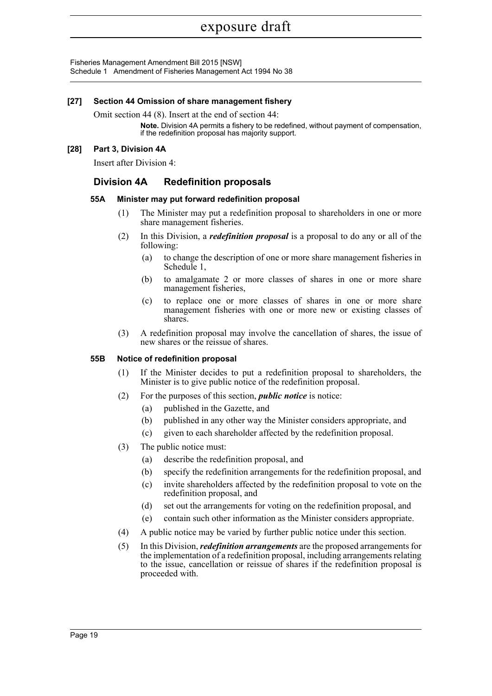Fisheries Management Amendment Bill 2015 [NSW] Schedule 1 Amendment of Fisheries Management Act 1994 No 38

## **[27] Section 44 Omission of share management fishery**

Omit section 44 (8). Insert at the end of section 44:

**Note.** Division 4A permits a fishery to be redefined, without payment of compensation, if the redefinition proposal has majority support.

#### **[28] Part 3, Division 4A**

Insert after Division 4:

## **Division 4A Redefinition proposals**

#### **55A Minister may put forward redefinition proposal**

- (1) The Minister may put a redefinition proposal to shareholders in one or more share management fisheries.
- (2) In this Division, a *redefinition proposal* is a proposal to do any or all of the following:
	- (a) to change the description of one or more share management fisheries in Schedule 1,
	- (b) to amalgamate 2 or more classes of shares in one or more share management fisheries,
	- (c) to replace one or more classes of shares in one or more share management fisheries with one or more new or existing classes of shares.
- (3) A redefinition proposal may involve the cancellation of shares, the issue of new shares or the reissue of shares.

#### **55B Notice of redefinition proposal**

- (1) If the Minister decides to put a redefinition proposal to shareholders, the Minister is to give public notice of the redefinition proposal.
- (2) For the purposes of this section, *public notice* is notice:
	- (a) published in the Gazette, and
	- (b) published in any other way the Minister considers appropriate, and
	- (c) given to each shareholder affected by the redefinition proposal.
- (3) The public notice must:
	- (a) describe the redefinition proposal, and
	- (b) specify the redefinition arrangements for the redefinition proposal, and
	- (c) invite shareholders affected by the redefinition proposal to vote on the redefinition proposal, and
	- (d) set out the arrangements for voting on the redefinition proposal, and
	- (e) contain such other information as the Minister considers appropriate.
- (4) A public notice may be varied by further public notice under this section.
- (5) In this Division, *redefinition arrangements* are the proposed arrangements for the implementation of a redefinition proposal, including arrangements relating to the issue, cancellation or reissue of shares if the redefinition proposal is proceeded with.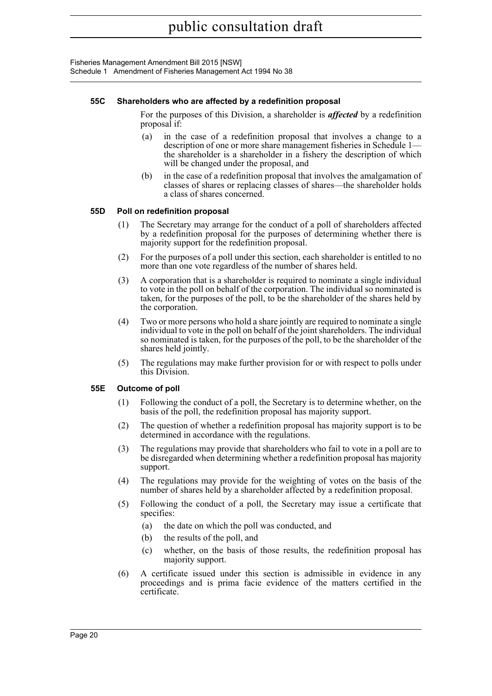Fisheries Management Amendment Bill 2015 [NSW] Schedule 1 Amendment of Fisheries Management Act 1994 No 38

#### **55C Shareholders who are affected by a redefinition proposal**

For the purposes of this Division, a shareholder is *affected* by a redefinition proposal if:

- (a) in the case of a redefinition proposal that involves a change to a description of one or more share management fisheries in Schedule 1 the shareholder is a shareholder in a fishery the description of which will be changed under the proposal, and
- (b) in the case of a redefinition proposal that involves the amalgamation of classes of shares or replacing classes of shares—the shareholder holds a class of shares concerned.

#### **55D Poll on redefinition proposal**

- (1) The Secretary may arrange for the conduct of a poll of shareholders affected by a redefinition proposal for the purposes of determining whether there is majority support for the redefinition proposal.
- (2) For the purposes of a poll under this section, each shareholder is entitled to no more than one vote regardless of the number of shares held.
- (3) A corporation that is a shareholder is required to nominate a single individual to vote in the poll on behalf of the corporation. The individual so nominated is taken, for the purposes of the poll, to be the shareholder of the shares held by the corporation.
- (4) Two or more persons who hold a share jointly are required to nominate a single individual to vote in the poll on behalf of the joint shareholders. The individual so nominated is taken, for the purposes of the poll, to be the shareholder of the shares held jointly.
- (5) The regulations may make further provision for or with respect to polls under this Division.

## **55E Outcome of poll**

- (1) Following the conduct of a poll, the Secretary is to determine whether, on the basis of the poll, the redefinition proposal has majority support.
- (2) The question of whether a redefinition proposal has majority support is to be determined in accordance with the regulations.
- (3) The regulations may provide that shareholders who fail to vote in a poll are to be disregarded when determining whether a redefinition proposal has majority support.
- (4) The regulations may provide for the weighting of votes on the basis of the number of shares held by a shareholder affected by a redefinition proposal.
- (5) Following the conduct of a poll, the Secretary may issue a certificate that specifies:
	- (a) the date on which the poll was conducted, and
	- (b) the results of the poll, and
	- (c) whether, on the basis of those results, the redefinition proposal has majority support.
- (6) A certificate issued under this section is admissible in evidence in any proceedings and is prima facie evidence of the matters certified in the certificate.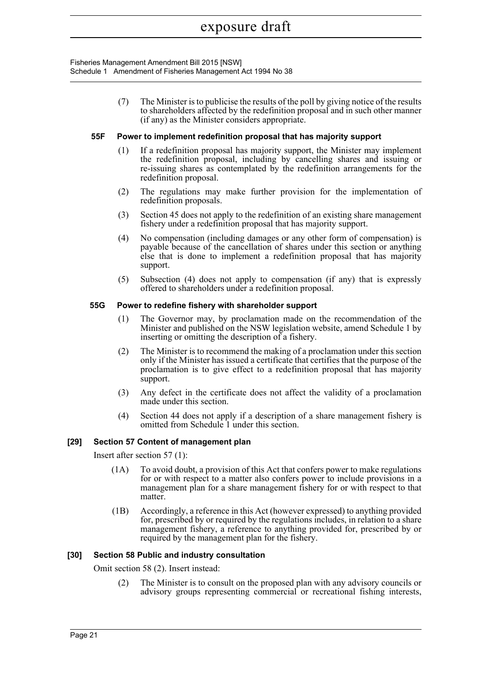Fisheries Management Amendment Bill 2015 [NSW] Schedule 1 Amendment of Fisheries Management Act 1994 No 38

> (7) The Minister is to publicise the results of the poll by giving notice of the results to shareholders affected by the redefinition proposal and in such other manner (if any) as the Minister considers appropriate.

#### **55F Power to implement redefinition proposal that has majority support**

- (1) If a redefinition proposal has majority support, the Minister may implement the redefinition proposal, including by cancelling shares and issuing or re-issuing shares as contemplated by the redefinition arrangements for the redefinition proposal.
- (2) The regulations may make further provision for the implementation of redefinition proposals.
- (3) Section 45 does not apply to the redefinition of an existing share management fishery under a redefinition proposal that has majority support.
- (4) No compensation (including damages or any other form of compensation) is payable because of the cancellation of shares under this section or anything else that is done to implement a redefinition proposal that has majority support.
- (5) Subsection (4) does not apply to compensation (if any) that is expressly offered to shareholders under a redefinition proposal.

#### **55G Power to redefine fishery with shareholder support**

- (1) The Governor may, by proclamation made on the recommendation of the Minister and published on the NSW legislation website, amend Schedule 1 by inserting or omitting the description of a fishery.
- (2) The Minister is to recommend the making of a proclamation under this section only if the Minister has issued a certificate that certifies that the purpose of the proclamation is to give effect to a redefinition proposal that has majority support.
- (3) Any defect in the certificate does not affect the validity of a proclamation made under this section.
- (4) Section 44 does not apply if a description of a share management fishery is omitted from Schedule 1 under this section.

## **[29] Section 57 Content of management plan**

Insert after section 57 (1):

- (1A) To avoid doubt, a provision of this Act that confers power to make regulations for or with respect to a matter also confers power to include provisions in a management plan for a share management fishery for or with respect to that matter.
- (1B) Accordingly, a reference in this Act (however expressed) to anything provided for, prescribed by or required by the regulations includes, in relation to a share management fishery, a reference to anything provided for, prescribed by or required by the management plan for the fishery.

## **[30] Section 58 Public and industry consultation**

Omit section 58 (2). Insert instead:

(2) The Minister is to consult on the proposed plan with any advisory councils or advisory groups representing commercial or recreational fishing interests,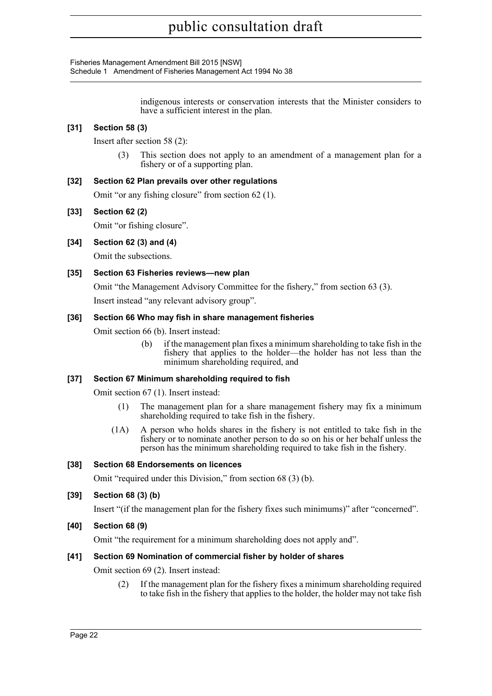Fisheries Management Amendment Bill 2015 [NSW] Schedule 1 Amendment of Fisheries Management Act 1994 No 38

> indigenous interests or conservation interests that the Minister considers to have a sufficient interest in the plan.

## **[31] Section 58 (3)**

Insert after section 58 (2):

(3) This section does not apply to an amendment of a management plan for a fishery or of a supporting plan.

## **[32] Section 62 Plan prevails over other regulations**

Omit "or any fishing closure" from section 62 (1).

## **[33] Section 62 (2)**

Omit "or fishing closure".

## **[34] Section 62 (3) and (4)**

Omit the subsections.

## **[35] Section 63 Fisheries reviews—new plan**

Omit "the Management Advisory Committee for the fishery," from section 63 (3).

Insert instead "any relevant advisory group".

## **[36] Section 66 Who may fish in share management fisheries**

Omit section 66 (b). Insert instead:

(b) if the management plan fixes a minimum shareholding to take fish in the fishery that applies to the holder—the holder has not less than the minimum shareholding required, and

## **[37] Section 67 Minimum shareholding required to fish**

Omit section 67 (1). Insert instead:

- (1) The management plan for a share management fishery may fix a minimum shareholding required to take fish in the fishery.
- (1A) A person who holds shares in the fishery is not entitled to take fish in the fishery or to nominate another person to do so on his or her behalf unless the person has the minimum shareholding required to take fish in the fishery.

## **[38] Section 68 Endorsements on licences**

Omit "required under this Division," from section 68 (3) (b).

## **[39] Section 68 (3) (b)**

Insert "(if the management plan for the fishery fixes such minimums)" after "concerned".

**[40] Section 68 (9)**

Omit "the requirement for a minimum shareholding does not apply and".

## **[41] Section 69 Nomination of commercial fisher by holder of shares**

Omit section 69 (2). Insert instead:

(2) If the management plan for the fishery fixes a minimum shareholding required to take fish in the fishery that applies to the holder, the holder may not take fish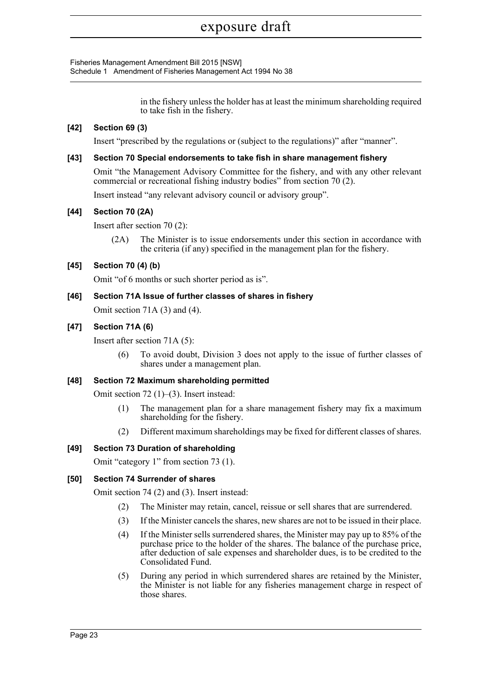Fisheries Management Amendment Bill 2015 [NSW] Schedule 1 Amendment of Fisheries Management Act 1994 No 38

> in the fishery unless the holder has at least the minimum shareholding required to take fish in the fishery.

## **[42] Section 69 (3)**

Insert "prescribed by the regulations or (subject to the regulations)" after "manner".

#### **[43] Section 70 Special endorsements to take fish in share management fishery**

Omit "the Management Advisory Committee for the fishery, and with any other relevant commercial or recreational fishing industry bodies" from section 70 (2).

Insert instead "any relevant advisory council or advisory group".

## **[44] Section 70 (2A)**

Insert after section 70 (2):

(2A) The Minister is to issue endorsements under this section in accordance with the criteria (if any) specified in the management plan for the fishery.

## **[45] Section 70 (4) (b)**

Omit "of 6 months or such shorter period as is".

## **[46] Section 71A Issue of further classes of shares in fishery**

Omit section 71A (3) and (4).

## **[47] Section 71A (6)**

Insert after section 71A (5):

(6) To avoid doubt, Division 3 does not apply to the issue of further classes of shares under a management plan.

## **[48] Section 72 Maximum shareholding permitted**

Omit section 72 (1)–(3). Insert instead:

- (1) The management plan for a share management fishery may fix a maximum shareholding for the fishery.
- (2) Different maximum shareholdings may be fixed for different classes of shares.

## **[49] Section 73 Duration of shareholding**

Omit "category 1" from section 73 (1).

## **[50] Section 74 Surrender of shares**

Omit section 74 (2) and (3). Insert instead:

- (2) The Minister may retain, cancel, reissue or sell shares that are surrendered.
- (3) If the Minister cancels the shares, new shares are not to be issued in their place.
- (4) If the Minister sells surrendered shares, the Minister may pay up to 85% of the purchase price to the holder of the shares. The balance of the purchase price, after deduction of sale expenses and shareholder dues, is to be credited to the Consolidated Fund.
- (5) During any period in which surrendered shares are retained by the Minister, the Minister is not liable for any fisheries management charge in respect of those shares.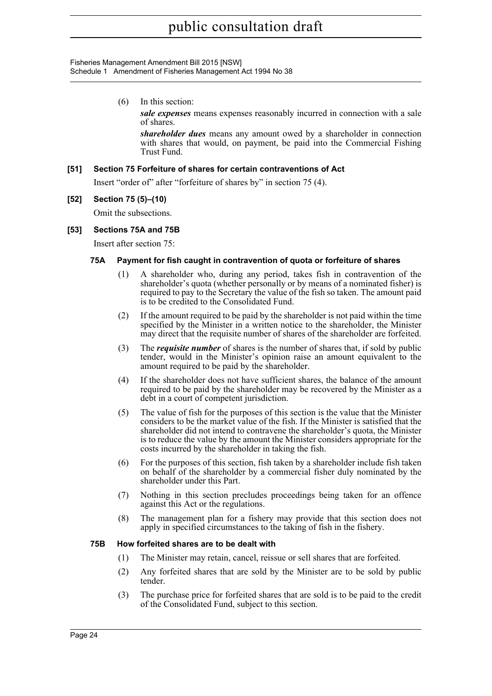#### Fisheries Management Amendment Bill 2015 [NSW] Schedule 1 Amendment of Fisheries Management Act 1994 No 38

(6) In this section:

*sale expenses* means expenses reasonably incurred in connection with a sale of shares.

*shareholder dues* means any amount owed by a shareholder in connection with shares that would, on payment, be paid into the Commercial Fishing Trust Fund.

## **[51] Section 75 Forfeiture of shares for certain contraventions of Act**

Insert "order of" after "forfeiture of shares by" in section 75 (4).

#### **[52] Section 75 (5)–(10)**

Omit the subsections.

## **[53] Sections 75A and 75B**

Insert after section 75:

#### **75A Payment for fish caught in contravention of quota or forfeiture of shares**

- (1) A shareholder who, during any period, takes fish in contravention of the shareholder's quota (whether personally or by means of a nominated fisher) is required to pay to the Secretary the value of the fish so taken. The amount paid is to be credited to the Consolidated Fund.
- (2) If the amount required to be paid by the shareholder is not paid within the time specified by the Minister in a written notice to the shareholder, the Minister may direct that the requisite number of shares of the shareholder are forfeited.
- (3) The *requisite number* of shares is the number of shares that, if sold by public tender, would in the Minister's opinion raise an amount equivalent to the amount required to be paid by the shareholder.
- (4) If the shareholder does not have sufficient shares, the balance of the amount required to be paid by the shareholder may be recovered by the Minister as a debt in a court of competent jurisdiction.
- (5) The value of fish for the purposes of this section is the value that the Minister considers to be the market value of the fish. If the Minister is satisfied that the shareholder did not intend to contravene the shareholder's quota, the Minister is to reduce the value by the amount the Minister considers appropriate for the costs incurred by the shareholder in taking the fish.
- (6) For the purposes of this section, fish taken by a shareholder include fish taken on behalf of the shareholder by a commercial fisher duly nominated by the shareholder under this Part.
- (7) Nothing in this section precludes proceedings being taken for an offence against this Act or the regulations.
- (8) The management plan for a fishery may provide that this section does not apply in specified circumstances to the taking of fish in the fishery.

#### **75B How forfeited shares are to be dealt with**

- (1) The Minister may retain, cancel, reissue or sell shares that are forfeited.
- (2) Any forfeited shares that are sold by the Minister are to be sold by public tender.
- (3) The purchase price for forfeited shares that are sold is to be paid to the credit of the Consolidated Fund, subject to this section.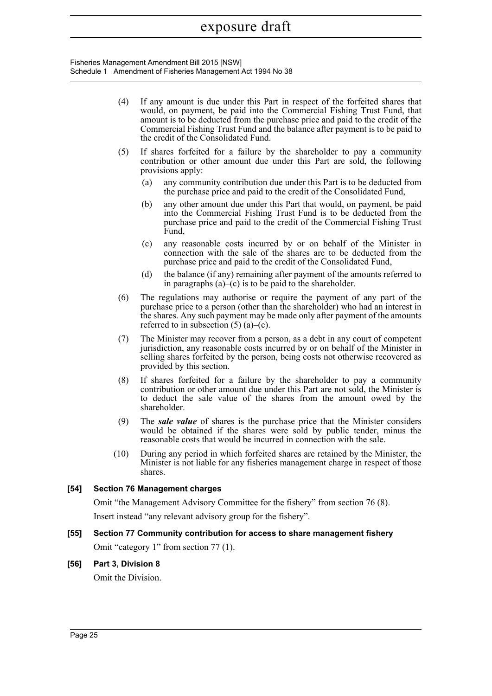Fisheries Management Amendment Bill 2015 [NSW] Schedule 1 Amendment of Fisheries Management Act 1994 No 38

- (4) If any amount is due under this Part in respect of the forfeited shares that would, on payment, be paid into the Commercial Fishing Trust Fund, that amount is to be deducted from the purchase price and paid to the credit of the Commercial Fishing Trust Fund and the balance after payment is to be paid to the credit of the Consolidated Fund. (5) If shares forfeited for a failure by the shareholder to pay a community contribution or other amount due under this Part are sold, the following provisions apply: (a) any community contribution due under this Part is to be deducted from the purchase price and paid to the credit of the Consolidated Fund, (b) any other amount due under this Part that would, on payment, be paid into the Commercial Fishing Trust Fund is to be deducted from the purchase price and paid to the credit of the Commercial Fishing Trust Fund, (c) any reasonable costs incurred by or on behalf of the Minister in connection with the sale of the shares are to be deducted from the purchase price and paid to the credit of the Consolidated Fund, (d) the balance (if any) remaining after payment of the amounts referred to in paragraphs  $(a)$ – $(c)$  is to be paid to the shareholder. (6) The regulations may authorise or require the payment of any part of the purchase price to a person (other than the shareholder) who had an interest in the shares. Any such payment may be made only after payment of the amounts referred to in subsection  $(5)$  (a)–(c). (7) The Minister may recover from a person, as a debt in any court of competent jurisdiction, any reasonable costs incurred by or on behalf of the Minister in selling shares forfeited by the person, being costs not otherwise recovered as provided by this section. (8) If shares forfeited for a failure by the shareholder to pay a community contribution or other amount due under this Part are not sold, the Minister is to deduct the sale value of the shares from the amount owed by the shareholder.
- (9) The *sale value* of shares is the purchase price that the Minister considers would be obtained if the shares were sold by public tender, minus the reasonable costs that would be incurred in connection with the sale.
- (10) During any period in which forfeited shares are retained by the Minister, the Minister is not liable for any fisheries management charge in respect of those shares.

## **[54] Section 76 Management charges**

Omit "the Management Advisory Committee for the fishery" from section 76 (8).

Insert instead "any relevant advisory group for the fishery".

## **[55] Section 77 Community contribution for access to share management fishery**

Omit "category 1" from section 77 (1).

**[56] Part 3, Division 8**

Omit the Division.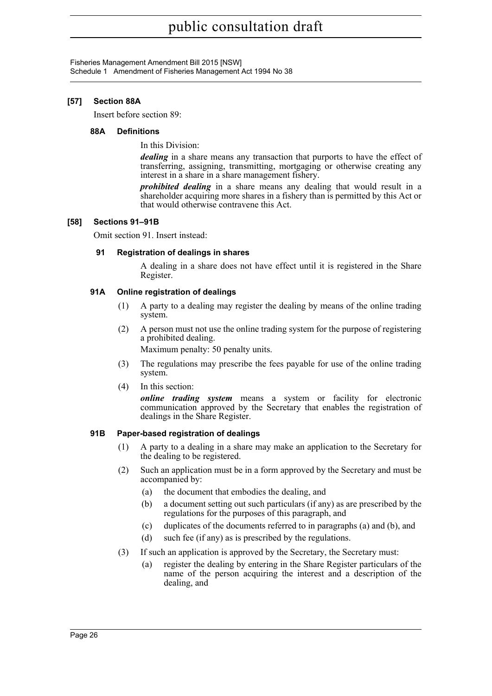Fisheries Management Amendment Bill 2015 [NSW] Schedule 1 Amendment of Fisheries Management Act 1994 No 38

## **[57] Section 88A**

Insert before section 89:

#### **88A Definitions**

In this Division:

*dealing* in a share means any transaction that purports to have the effect of transferring, assigning, transmitting, mortgaging or otherwise creating any interest in a share in a share management fishery.

*prohibited dealing* in a share means any dealing that would result in a shareholder acquiring more shares in a fishery than is permitted by this Act or that would otherwise contravene this Act.

## **[58] Sections 91–91B**

Omit section 91. Insert instead:

## **91 Registration of dealings in shares**

A dealing in a share does not have effect until it is registered in the Share Register.

## **91A Online registration of dealings**

- (1) A party to a dealing may register the dealing by means of the online trading system.
- (2) A person must not use the online trading system for the purpose of registering a prohibited dealing.

Maximum penalty: 50 penalty units.

- (3) The regulations may prescribe the fees payable for use of the online trading system.
- (4) In this section:

*online trading system* means a system or facility for electronic communication approved by the Secretary that enables the registration of dealings in the Share Register.

## **91B Paper-based registration of dealings**

- (1) A party to a dealing in a share may make an application to the Secretary for the dealing to be registered.
- (2) Such an application must be in a form approved by the Secretary and must be accompanied by:
	- (a) the document that embodies the dealing, and
	- (b) a document setting out such particulars (if any) as are prescribed by the regulations for the purposes of this paragraph, and
	- (c) duplicates of the documents referred to in paragraphs (a) and (b), and
	- (d) such fee (if any) as is prescribed by the regulations.
- (3) If such an application is approved by the Secretary, the Secretary must:
	- (a) register the dealing by entering in the Share Register particulars of the name of the person acquiring the interest and a description of the dealing, and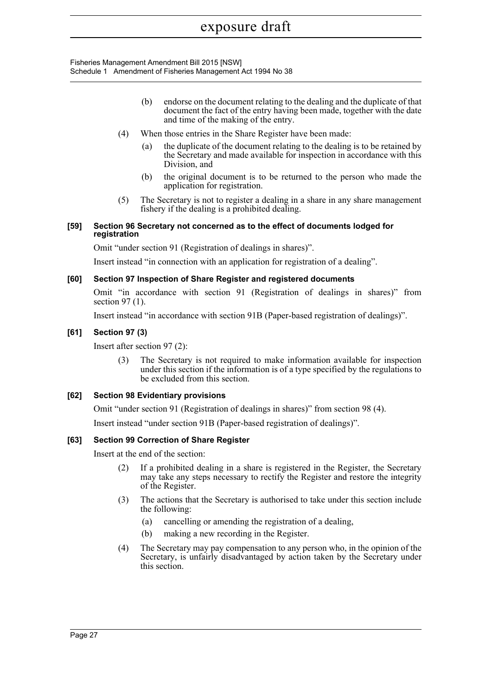Fisheries Management Amendment Bill 2015 [NSW] Schedule 1 Amendment of Fisheries Management Act 1994 No 38

- (b) endorse on the document relating to the dealing and the duplicate of that document the fact of the entry having been made, together with the date and time of the making of the entry.
- (4) When those entries in the Share Register have been made:
	- (a) the duplicate of the document relating to the dealing is to be retained by the Secretary and made available for inspection in accordance with this Division, and
	- (b) the original document is to be returned to the person who made the application for registration.
- (5) The Secretary is not to register a dealing in a share in any share management fishery if the dealing is a prohibited dealing.

#### **[59] Section 96 Secretary not concerned as to the effect of documents lodged for registration**

Omit "under section 91 (Registration of dealings in shares)".

Insert instead "in connection with an application for registration of a dealing".

## **[60] Section 97 Inspection of Share Register and registered documents**

Omit "in accordance with section 91 (Registration of dealings in shares)" from section 97 (1).

Insert instead "in accordance with section 91B (Paper-based registration of dealings)".

## **[61] Section 97 (3)**

Insert after section 97 (2):

The Secretary is not required to make information available for inspection under this section if the information is of a type specified by the regulations to be excluded from this section.

#### **[62] Section 98 Evidentiary provisions**

Omit "under section 91 (Registration of dealings in shares)" from section 98 (4).

Insert instead "under section 91B (Paper-based registration of dealings)".

## **[63] Section 99 Correction of Share Register**

Insert at the end of the section:

- (2) If a prohibited dealing in a share is registered in the Register, the Secretary may take any steps necessary to rectify the Register and restore the integrity of the Register.
- (3) The actions that the Secretary is authorised to take under this section include the following:
	- (a) cancelling or amending the registration of a dealing,
	- (b) making a new recording in the Register.
- (4) The Secretary may pay compensation to any person who, in the opinion of the Secretary, is unfairly disadvantaged by action taken by the Secretary under this section.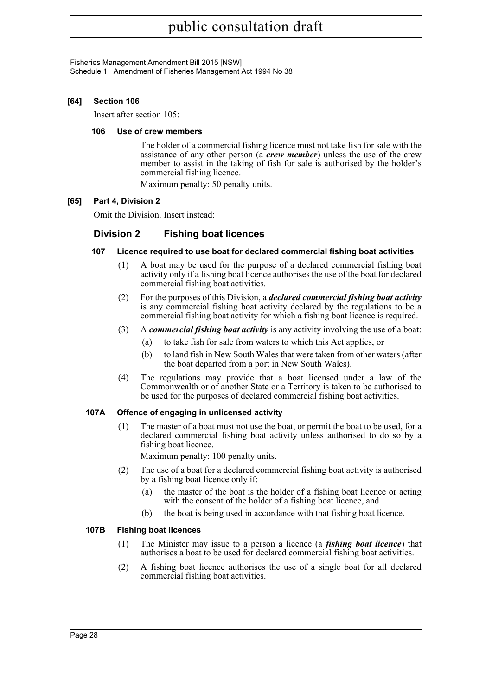Fisheries Management Amendment Bill 2015 [NSW] Schedule 1 Amendment of Fisheries Management Act 1994 No 38

## **[64] Section 106**

Insert after section 105:

#### **106 Use of crew members**

The holder of a commercial fishing licence must not take fish for sale with the assistance of any other person (a *crew member*) unless the use of the crew member to assist in the taking of fish for sale is authorised by the holder's commercial fishing licence.

Maximum penalty: 50 penalty units.

## **[65] Part 4, Division 2**

Omit the Division. Insert instead:

## **Division 2 Fishing boat licences**

- **107 Licence required to use boat for declared commercial fishing boat activities**
	- (1) A boat may be used for the purpose of a declared commercial fishing boat activity only if a fishing boat licence authorises the use of the boat for declared commercial fishing boat activities.
	- (2) For the purposes of this Division, a *declared commercial fishing boat activity* is any commercial fishing boat activity declared by the regulations to be a commercial fishing boat activity for which a fishing boat licence is required.
	- (3) A *commercial fishing boat activity* is any activity involving the use of a boat:
		- (a) to take fish for sale from waters to which this Act applies, or
		- (b) to land fish in New South Wales that were taken from other waters (after the boat departed from a port in New South Wales).
	- (4) The regulations may provide that a boat licensed under a law of the Commonwealth or of another State or a Territory is taken to be authorised to be used for the purposes of declared commercial fishing boat activities.

## **107A Offence of engaging in unlicensed activity**

(1) The master of a boat must not use the boat, or permit the boat to be used, for a declared commercial fishing boat activity unless authorised to do so by a fishing boat licence.

Maximum penalty: 100 penalty units.

- (2) The use of a boat for a declared commercial fishing boat activity is authorised by a fishing boat licence only if:
	- (a) the master of the boat is the holder of a fishing boat licence or acting with the consent of the holder of a fishing boat licence, and
	- (b) the boat is being used in accordance with that fishing boat licence.

## **107B Fishing boat licences**

- (1) The Minister may issue to a person a licence (a *fishing boat licence*) that authorises a boat to be used for declared commercial fishing boat activities.
- (2) A fishing boat licence authorises the use of a single boat for all declared commercial fishing boat activities.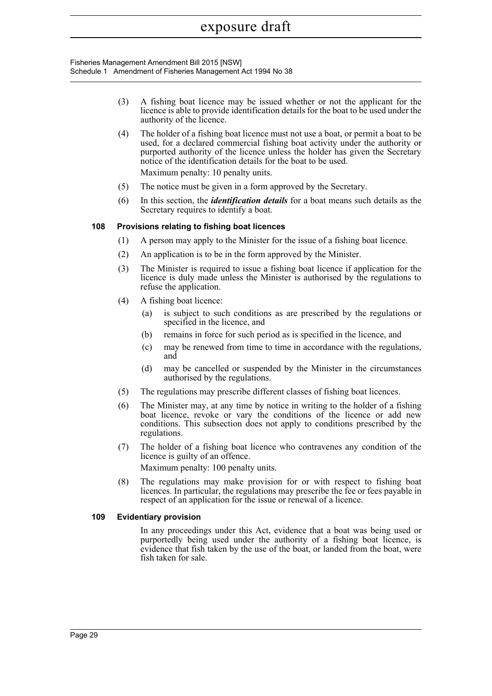Fisheries Management Amendment Bill 2015 [NSW] Schedule 1 Amendment of Fisheries Management Act 1994 No 38

- (3) A fishing boat licence may be issued whether or not the applicant for the licence is able to provide identification details for the boat to be used under the authority of the licence.
- (4) The holder of a fishing boat licence must not use a boat, or permit a boat to be used, for a declared commercial fishing boat activity under the authority or purported authority of the licence unless the holder has given the Secretary notice of the identification details for the boat to be used. Maximum penalty: 10 penalty units.
- (5) The notice must be given in a form approved by the Secretary.
- (6) In this section, the *identification details* for a boat means such details as the Secretary requires to identify a boat.

## **108 Provisions relating to fishing boat licences**

- (1) A person may apply to the Minister for the issue of a fishing boat licence.
- (2) An application is to be in the form approved by the Minister.
- (3) The Minister is required to issue a fishing boat licence if application for the licence is duly made unless the Minister is authorised by the regulations to refuse the application.
- (4) A fishing boat licence:
	- (a) is subject to such conditions as are prescribed by the regulations or specified in the licence, and
	- (b) remains in force for such period as is specified in the licence, and
	- (c) may be renewed from time to time in accordance with the regulations, and
	- (d) may be cancelled or suspended by the Minister in the circumstances authorised by the regulations.
- (5) The regulations may prescribe different classes of fishing boat licences.
- (6) The Minister may, at any time by notice in writing to the holder of a fishing boat licence, revoke or vary the conditions of the licence or add new conditions. This subsection does not apply to conditions prescribed by the regulations.
- (7) The holder of a fishing boat licence who contravenes any condition of the licence is guilty of an offence. Maximum penalty: 100 penalty units.

(8) The regulations may make provision for or with respect to fishing boat licences. In particular, the regulations may prescribe the fee or fees payable in respect of an application for the issue or renewal of a licence.

## **109 Evidentiary provision**

In any proceedings under this Act, evidence that a boat was being used or purportedly being used under the authority of a fishing boat licence, is evidence that fish taken by the use of the boat, or landed from the boat, were fish taken for sale.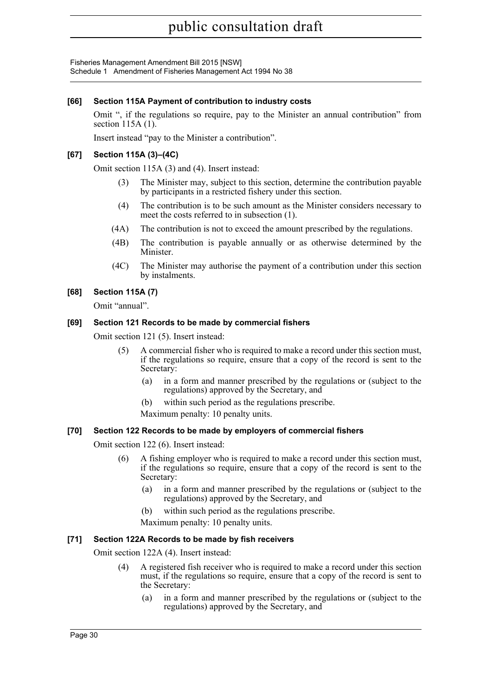Fisheries Management Amendment Bill 2015 [NSW] Schedule 1 Amendment of Fisheries Management Act 1994 No 38

## **[66] Section 115A Payment of contribution to industry costs**

Omit ", if the regulations so require, pay to the Minister an annual contribution" from section 115A (1).

Insert instead "pay to the Minister a contribution".

## **[67] Section 115A (3)–(4C)**

Omit section 115A (3) and (4). Insert instead:

- (3) The Minister may, subject to this section, determine the contribution payable by participants in a restricted fishery under this section.
- (4) The contribution is to be such amount as the Minister considers necessary to meet the costs referred to in subsection (1).
- (4A) The contribution is not to exceed the amount prescribed by the regulations.
- (4B) The contribution is payable annually or as otherwise determined by the Minister.
- (4C) The Minister may authorise the payment of a contribution under this section by instalments.

## **[68] Section 115A (7)**

Omit "annual".

## **[69] Section 121 Records to be made by commercial fishers**

Omit section 121 (5). Insert instead:

- (5) A commercial fisher who is required to make a record under this section must, if the regulations so require, ensure that a copy of the record is sent to the Secretary:
	- (a) in a form and manner prescribed by the regulations or (subject to the regulations) approved by the Secretary, and
	- (b) within such period as the regulations prescribe.
	- Maximum penalty: 10 penalty units.

## **[70] Section 122 Records to be made by employers of commercial fishers**

Omit section 122 (6). Insert instead:

- (6) A fishing employer who is required to make a record under this section must, if the regulations so require, ensure that a copy of the record is sent to the Secretary:
	- (a) in a form and manner prescribed by the regulations or (subject to the regulations) approved by the Secretary, and
	- (b) within such period as the regulations prescribe.
	- Maximum penalty: 10 penalty units.

## **[71] Section 122A Records to be made by fish receivers**

Omit section 122A (4). Insert instead:

- (4) A registered fish receiver who is required to make a record under this section must, if the regulations so require, ensure that a copy of the record is sent to the Secretary:
	- (a) in a form and manner prescribed by the regulations or (subject to the regulations) approved by the Secretary, and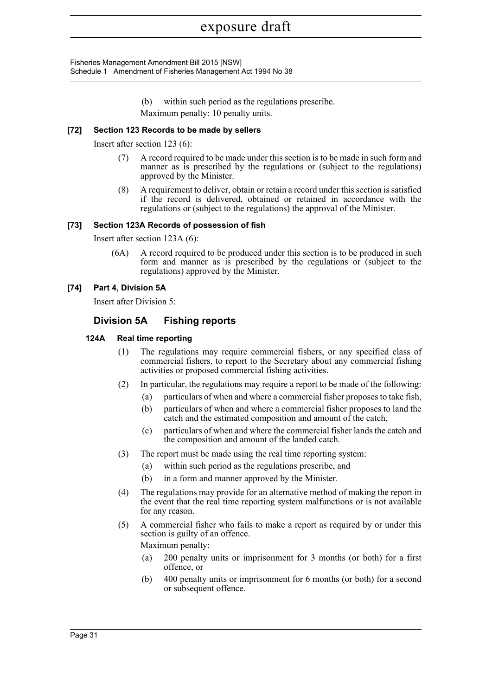Fisheries Management Amendment Bill 2015 [NSW] Schedule 1 Amendment of Fisheries Management Act 1994 No 38

> (b) within such period as the regulations prescribe. Maximum penalty: 10 penalty units.

## **[72] Section 123 Records to be made by sellers**

Insert after section 123 (6):

- (7) A record required to be made under this section is to be made in such form and manner as is prescribed by the regulations or (subject to the regulations) approved by the Minister.
- (8) A requirement to deliver, obtain or retain a record under this section is satisfied if the record is delivered, obtained or retained in accordance with the regulations or (subject to the regulations) the approval of the Minister.

## **[73] Section 123A Records of possession of fish**

Insert after section 123A (6):

(6A) A record required to be produced under this section is to be produced in such form and manner as is prescribed by the regulations or (subject to the regulations) approved by the Minister.

## **[74] Part 4, Division 5A**

Insert after Division 5:

## **Division 5A Fishing reports**

#### **124A Real time reporting**

- (1) The regulations may require commercial fishers, or any specified class of commercial fishers, to report to the Secretary about any commercial fishing activities or proposed commercial fishing activities.
- (2) In particular, the regulations may require a report to be made of the following:
	- (a) particulars of when and where a commercial fisher proposes to take fish,
	- (b) particulars of when and where a commercial fisher proposes to land the catch and the estimated composition and amount of the catch,
	- (c) particulars of when and where the commercial fisher lands the catch and the composition and amount of the landed catch.
- (3) The report must be made using the real time reporting system:
	- (a) within such period as the regulations prescribe, and
	- (b) in a form and manner approved by the Minister.
- (4) The regulations may provide for an alternative method of making the report in the event that the real time reporting system malfunctions or is not available for any reason.
- (5) A commercial fisher who fails to make a report as required by or under this section is guilty of an offence.

Maximum penalty:

- (a) 200 penalty units or imprisonment for 3 months (or both) for a first offence, or
- (b) 400 penalty units or imprisonment for 6 months (or both) for a second or subsequent offence.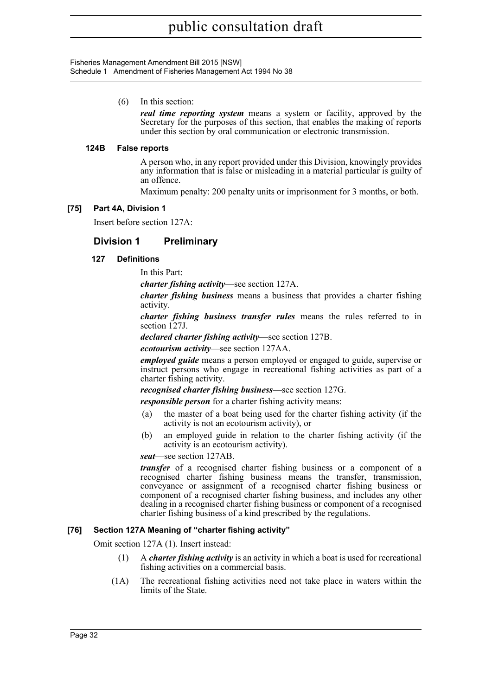Fisheries Management Amendment Bill 2015 [NSW] Schedule 1 Amendment of Fisheries Management Act 1994 No 38

(6) In this section:

*real time reporting system* means a system or facility, approved by the Secretary for the purposes of this section, that enables the making of reports under this section by oral communication or electronic transmission.

#### **124B False reports**

A person who, in any report provided under this Division, knowingly provides any information that is false or misleading in a material particular is guilty of an offence.

Maximum penalty: 200 penalty units or imprisonment for 3 months, or both.

## **[75] Part 4A, Division 1**

Insert before section 127A:

## **Division 1 Preliminary**

## **127 Definitions**

In this Part:

*charter fishing activity*—see section 127A.

*charter fishing business* means a business that provides a charter fishing activity.

*charter fishing business transfer rules* means the rules referred to in section 127J.

*declared charter fishing activity*—see section 127B.

*ecotourism activity*—see section 127AA.

*employed guide* means a person employed or engaged to guide, supervise or instruct persons who engage in recreational fishing activities as part of a charter fishing activity.

*recognised charter fishing business*—see section 127G.

*responsible person* for a charter fishing activity means:

- (a) the master of a boat being used for the charter fishing activity (if the activity is not an ecotourism activity), or
- (b) an employed guide in relation to the charter fishing activity (if the activity is an ecotourism activity).

*seat*—see section 127AB.

*transfer* of a recognised charter fishing business or a component of a recognised charter fishing business means the transfer, transmission, conveyance or assignment of a recognised charter fishing business or component of a recognised charter fishing business, and includes any other dealing in a recognised charter fishing business or component of a recognised charter fishing business of a kind prescribed by the regulations.

#### **[76] Section 127A Meaning of "charter fishing activity"**

Omit section 127A (1). Insert instead:

- (1) A *charter fishing activity* is an activity in which a boat is used for recreational fishing activities on a commercial basis.
- (1A) The recreational fishing activities need not take place in waters within the limits of the State.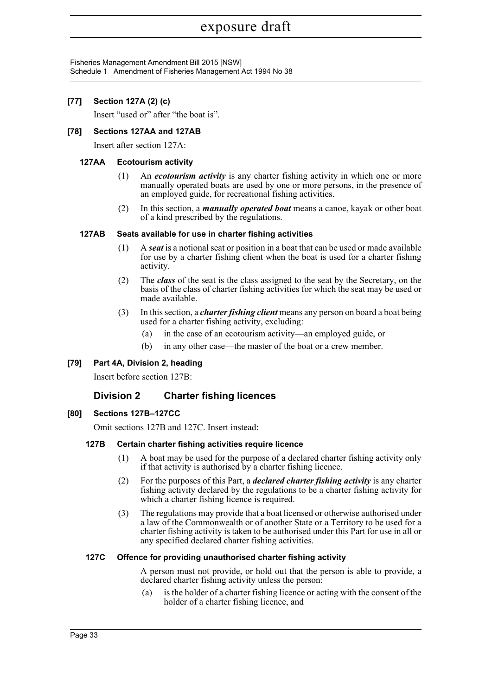Fisheries Management Amendment Bill 2015 [NSW] Schedule 1 Amendment of Fisheries Management Act 1994 No 38

## **[77] Section 127A (2) (c)**

Insert "used or" after "the boat is".

## **[78] Sections 127AA and 127AB**

Insert after section 127A:

#### **127AA Ecotourism activity**

- (1) An *ecotourism activity* is any charter fishing activity in which one or more manually operated boats are used by one or more persons, in the presence of an employed guide, for recreational fishing activities.
- (2) In this section, a *manually operated boat* means a canoe, kayak or other boat of a kind prescribed by the regulations.

#### **127AB Seats available for use in charter fishing activities**

- (1) A *seat* is a notional seat or position in a boat that can be used or made available for use by a charter fishing client when the boat is used for a charter fishing activity.
- (2) The *class* of the seat is the class assigned to the seat by the Secretary, on the basis of the class of charter fishing activities for which the seat may be used or made available.
- (3) In this section, a *charter fishing client* means any person on board a boat being used for a charter fishing activity, excluding:
	- (a) in the case of an ecotourism activity—an employed guide, or
	- (b) in any other case—the master of the boat or a crew member.

## **[79] Part 4A, Division 2, heading**

Insert before section 127B:

## **Division 2 Charter fishing licences**

## **[80] Sections 127B–127CC**

Omit sections 127B and 127C. Insert instead:

#### **127B Certain charter fishing activities require licence**

- (1) A boat may be used for the purpose of a declared charter fishing activity only if that activity is authorised by a charter fishing licence.
- (2) For the purposes of this Part, a *declared charter fishing activity* is any charter fishing activity declared by the regulations to be a charter fishing activity for which a charter fishing licence is required.
- (3) The regulations may provide that a boat licensed or otherwise authorised under a law of the Commonwealth or of another State or a Territory to be used for a charter fishing activity is taken to be authorised under this Part for use in all or any specified declared charter fishing activities.

#### **127C Offence for providing unauthorised charter fishing activity**

A person must not provide, or hold out that the person is able to provide, a declared charter fishing activity unless the person:

(a) is the holder of a charter fishing licence or acting with the consent of the holder of a charter fishing licence, and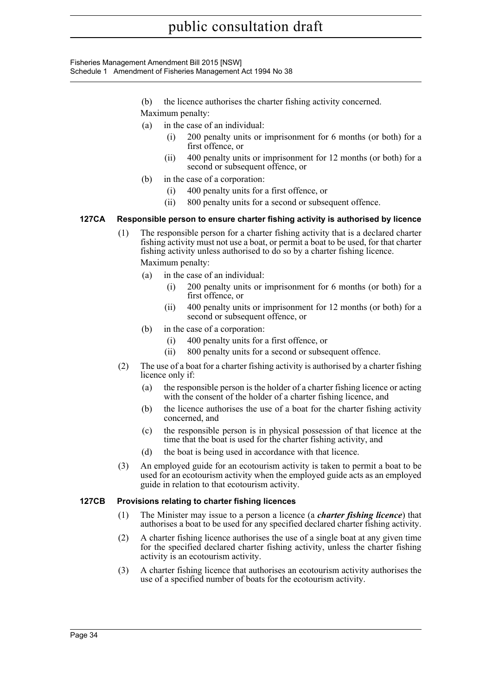Fisheries Management Amendment Bill 2015 [NSW] Schedule 1 Amendment of Fisheries Management Act 1994 No 38

- (b) the licence authorises the charter fishing activity concerned.
- Maximum penalty:
- (a) in the case of an individual:
	- 200 penalty units or imprisonment for 6 months (or both) for a first offence, or
	- (ii) 400 penalty units or imprisonment for 12 months (or both) for a second or subsequent offence, or
- (b) in the case of a corporation:
	- (i) 400 penalty units for a first offence, or
	- (ii) 800 penalty units for a second or subsequent offence.

## **127CA Responsible person to ensure charter fishing activity is authorised by licence**

- (1) The responsible person for a charter fishing activity that is a declared charter fishing activity must not use a boat, or permit a boat to be used, for that charter fishing activity unless authorised to do so by a charter fishing licence. Maximum penalty:
	- (a) in the case of an individual:
		- 200 penalty units or imprisonment for 6 months (or both) for a first offence, or
		- (ii) 400 penalty units or imprisonment for 12 months (or both) for a second or subsequent offence, or
	- (b) in the case of a corporation:
		- (i) 400 penalty units for a first offence, or
		- (ii) 800 penalty units for a second or subsequent offence.
- (2) The use of a boat for a charter fishing activity is authorised by a charter fishing licence only if:
	- (a) the responsible person is the holder of a charter fishing licence or acting with the consent of the holder of a charter fishing licence, and
	- (b) the licence authorises the use of a boat for the charter fishing activity concerned, and
	- (c) the responsible person is in physical possession of that licence at the time that the boat is used for the charter fishing activity, and
	- (d) the boat is being used in accordance with that licence.
- (3) An employed guide for an ecotourism activity is taken to permit a boat to be used for an ecotourism activity when the employed guide acts as an employed guide in relation to that ecotourism activity.

## **127CB Provisions relating to charter fishing licences**

- (1) The Minister may issue to a person a licence (a *charter fishing licence*) that authorises a boat to be used for any specified declared charter fishing activity.
- (2) A charter fishing licence authorises the use of a single boat at any given time for the specified declared charter fishing activity, unless the charter fishing activity is an ecotourism activity.
- (3) A charter fishing licence that authorises an ecotourism activity authorises the use of a specified number of boats for the ecotourism activity.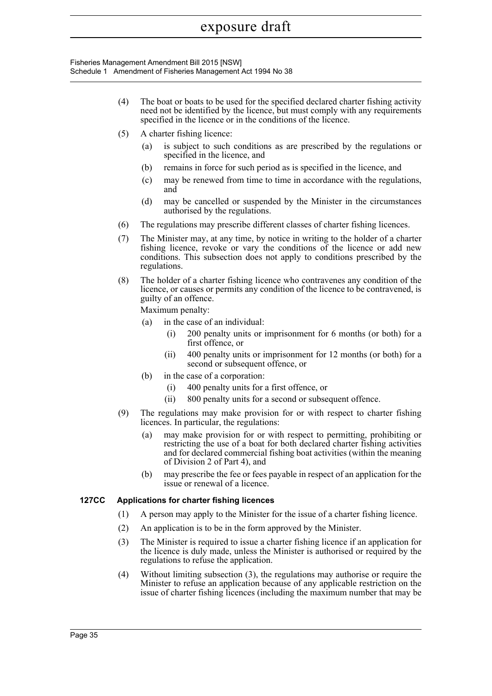Fisheries Management Amendment Bill 2015 [NSW] Schedule 1 Amendment of Fisheries Management Act 1994 No 38

- (4) The boat or boats to be used for the specified declared charter fishing activity need not be identified by the licence, but must comply with any requirements specified in the licence or in the conditions of the licence.
- (5) A charter fishing licence:
	- (a) is subject to such conditions as are prescribed by the regulations or specified in the licence, and
	- (b) remains in force for such period as is specified in the licence, and
	- (c) may be renewed from time to time in accordance with the regulations, and
	- (d) may be cancelled or suspended by the Minister in the circumstances authorised by the regulations.
- (6) The regulations may prescribe different classes of charter fishing licences.
- (7) The Minister may, at any time, by notice in writing to the holder of a charter fishing licence, revoke or vary the conditions of the licence or add new conditions. This subsection does not apply to conditions prescribed by the regulations.
- (8) The holder of a charter fishing licence who contravenes any condition of the licence, or causes or permits any condition of the licence to be contravened, is guilty of an offence.

Maximum penalty:

- (a) in the case of an individual:
	- (i) 200 penalty units or imprisonment for 6 months (or both) for a first offence, or
	- (ii) 400 penalty units or imprisonment for 12 months (or both) for a second or subsequent offence, or
- (b) in the case of a corporation:
	- (i) 400 penalty units for a first offence, or
	- (ii) 800 penalty units for a second or subsequent offence.
- (9) The regulations may make provision for or with respect to charter fishing licences. In particular, the regulations:
	- (a) may make provision for or with respect to permitting, prohibiting or restricting the use of a boat for both declared charter fishing activities and for declared commercial fishing boat activities (within the meaning of Division 2 of Part 4), and
	- (b) may prescribe the fee or fees payable in respect of an application for the issue or renewal of a licence.

## **127CC Applications for charter fishing licences**

- (1) A person may apply to the Minister for the issue of a charter fishing licence.
- (2) An application is to be in the form approved by the Minister.
- (3) The Minister is required to issue a charter fishing licence if an application for the licence is duly made, unless the Minister is authorised or required by the regulations to refuse the application.
- (4) Without limiting subsection (3), the regulations may authorise or require the Minister to refuse an application because of any applicable restriction on the issue of charter fishing licences (including the maximum number that may be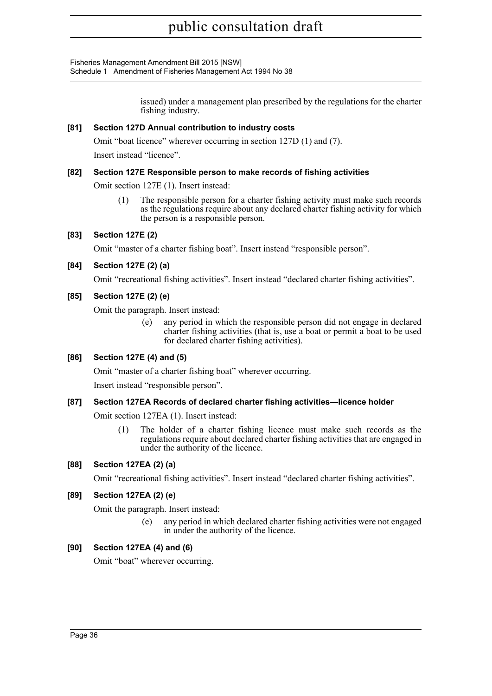Fisheries Management Amendment Bill 2015 [NSW] Schedule 1 Amendment of Fisheries Management Act 1994 No 38

> issued) under a management plan prescribed by the regulations for the charter fishing industry.

## **[81] Section 127D Annual contribution to industry costs**

Omit "boat licence" wherever occurring in section 127D (1) and (7). Insert instead "licence".

## **[82] Section 127E Responsible person to make records of fishing activities**

Omit section 127E (1). Insert instead:

(1) The responsible person for a charter fishing activity must make such records as the regulations require about any declared charter fishing activity for which the person is a responsible person.

## **[83] Section 127E (2)**

Omit "master of a charter fishing boat". Insert instead "responsible person".

## **[84] Section 127E (2) (a)**

Omit "recreational fishing activities". Insert instead "declared charter fishing activities".

## **[85] Section 127E (2) (e)**

Omit the paragraph. Insert instead:

(e) any period in which the responsible person did not engage in declared charter fishing activities (that is, use a boat or permit a boat to be used for declared charter fishing activities).

## **[86] Section 127E (4) and (5)**

Omit "master of a charter fishing boat" wherever occurring.

Insert instead "responsible person".

## **[87] Section 127EA Records of declared charter fishing activities—licence holder**

Omit section 127EA (1). Insert instead:

(1) The holder of a charter fishing licence must make such records as the regulations require about declared charter fishing activities that are engaged in under the authority of the licence.

## **[88] Section 127EA (2) (a)**

Omit "recreational fishing activities". Insert instead "declared charter fishing activities".

## **[89] Section 127EA (2) (e)**

Omit the paragraph. Insert instead:

(e) any period in which declared charter fishing activities were not engaged in under the authority of the licence.

## **[90] Section 127EA (4) and (6)**

Omit "boat" wherever occurring.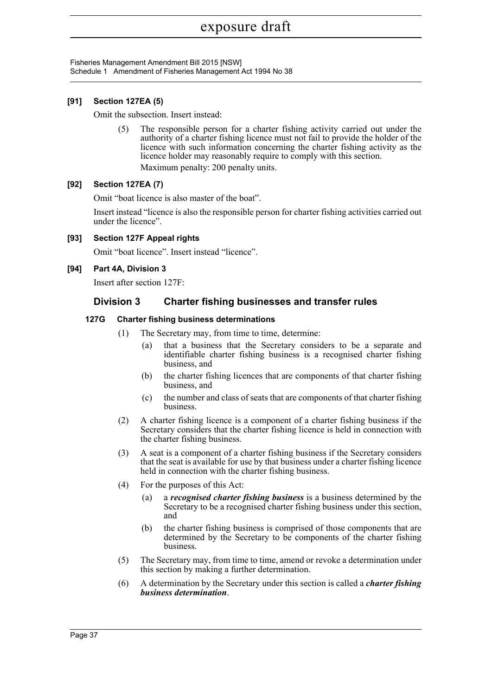Fisheries Management Amendment Bill 2015 [NSW] Schedule 1 Amendment of Fisheries Management Act 1994 No 38

## **[91] Section 127EA (5)**

Omit the subsection. Insert instead:

(5) The responsible person for a charter fishing activity carried out under the authority of a charter fishing licence must not fail to provide the holder of the licence with such information concerning the charter fishing activity as the licence holder may reasonably require to comply with this section. Maximum penalty: 200 penalty units.

## **[92] Section 127EA (7)**

Omit "boat licence is also master of the boat".

Insert instead "licence is also the responsible person for charter fishing activities carried out under the licence".

**[93] Section 127F Appeal rights**

Omit "boat licence". Insert instead "licence".

#### **[94] Part 4A, Division 3**

Insert after section 127F:

## **Division 3 Charter fishing businesses and transfer rules**

#### **127G Charter fishing business determinations**

- (1) The Secretary may, from time to time, determine:
	- (a) that a business that the Secretary considers to be a separate and identifiable charter fishing business is a recognised charter fishing business, and
	- (b) the charter fishing licences that are components of that charter fishing business, and
	- (c) the number and class of seats that are components of that charter fishing business.
- (2) A charter fishing licence is a component of a charter fishing business if the Secretary considers that the charter fishing licence is held in connection with the charter fishing business.
- (3) A seat is a component of a charter fishing business if the Secretary considers that the seat is available for use by that business under a charter fishing licence held in connection with the charter fishing business.
- (4) For the purposes of this Act:
	- (a) a *recognised charter fishing business* is a business determined by the Secretary to be a recognised charter fishing business under this section, and
	- (b) the charter fishing business is comprised of those components that are determined by the Secretary to be components of the charter fishing business.
- (5) The Secretary may, from time to time, amend or revoke a determination under this section by making a further determination.
- (6) A determination by the Secretary under this section is called a *charter fishing business determination*.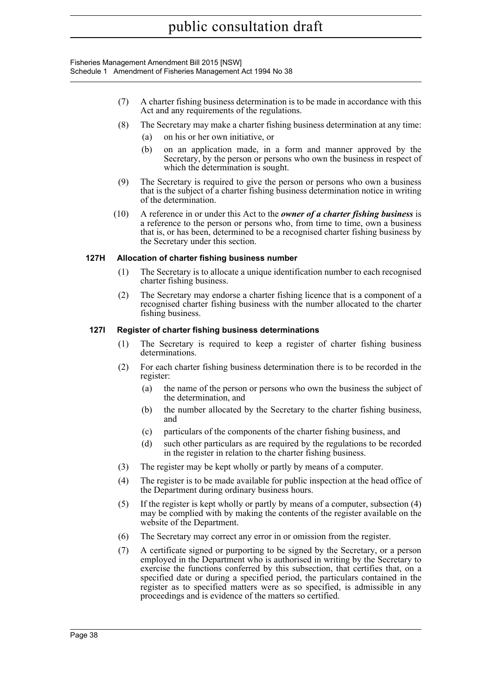Fisheries Management Amendment Bill 2015 [NSW] Schedule 1 Amendment of Fisheries Management Act 1994 No 38

- (7) A charter fishing business determination is to be made in accordance with this Act and any requirements of the regulations.
- (8) The Secretary may make a charter fishing business determination at any time:
	- (a) on his or her own initiative, or
	- (b) on an application made, in a form and manner approved by the Secretary, by the person or persons who own the business in respect of which the determination is sought.
- (9) The Secretary is required to give the person or persons who own a business that is the subject of a charter fishing business determination notice in writing of the determination.
- (10) A reference in or under this Act to the *owner of a charter fishing business* is a reference to the person or persons who, from time to time, own a business that is, or has been, determined to be a recognised charter fishing business by the Secretary under this section.

## **127H Allocation of charter fishing business number**

- (1) The Secretary is to allocate a unique identification number to each recognised charter fishing business.
- (2) The Secretary may endorse a charter fishing licence that is a component of a recognised charter fishing business with the number allocated to the charter fishing business.

#### **127I Register of charter fishing business determinations**

- (1) The Secretary is required to keep a register of charter fishing business determinations.
- (2) For each charter fishing business determination there is to be recorded in the register:
	- (a) the name of the person or persons who own the business the subject of the determination, and
	- (b) the number allocated by the Secretary to the charter fishing business, and
	- (c) particulars of the components of the charter fishing business, and
	- (d) such other particulars as are required by the regulations to be recorded in the register in relation to the charter fishing business.
- (3) The register may be kept wholly or partly by means of a computer.
- (4) The register is to be made available for public inspection at the head office of the Department during ordinary business hours.
- (5) If the register is kept wholly or partly by means of a computer, subsection (4) may be complied with by making the contents of the register available on the website of the Department.
- (6) The Secretary may correct any error in or omission from the register.
- (7) A certificate signed or purporting to be signed by the Secretary, or a person employed in the Department who is authorised in writing by the Secretary to exercise the functions conferred by this subsection, that certifies that, on a specified date or during a specified period, the particulars contained in the register as to specified matters were as so specified, is admissible in any proceedings and is evidence of the matters so certified.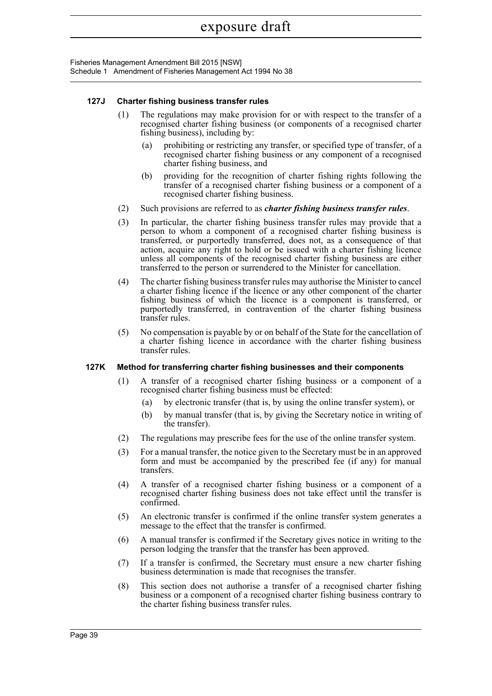Fisheries Management Amendment Bill 2015 [NSW] Schedule 1 Amendment of Fisheries Management Act 1994 No 38

#### **127J Charter fishing business transfer rules**

- (1) The regulations may make provision for or with respect to the transfer of a recognised charter fishing business (or components of a recognised charter fishing business), including by:
	- (a) prohibiting or restricting any transfer, or specified type of transfer, of a recognised charter fishing business or any component of a recognised charter fishing business, and
	- (b) providing for the recognition of charter fishing rights following the transfer of a recognised charter fishing business or a component of a recognised charter fishing business.
- (2) Such provisions are referred to as *charter fishing business transfer rules*.
- (3) In particular, the charter fishing business transfer rules may provide that a person to whom a component of a recognised charter fishing business is transferred, or purportedly transferred, does not, as a consequence of that action, acquire any right to hold or be issued with a charter fishing licence unless all components of the recognised charter fishing business are either transferred to the person or surrendered to the Minister for cancellation.
- (4) The charter fishing business transfer rules may authorise the Minister to cancel a charter fishing licence if the licence or any other component of the charter fishing business of which the licence is a component is transferred, or purportedly transferred, in contravention of the charter fishing business transfer rules.
- (5) No compensation is payable by or on behalf of the State for the cancellation of a charter fishing licence in accordance with the charter fishing business transfer rules.

## **127K Method for transferring charter fishing businesses and their components**

- (1) A transfer of a recognised charter fishing business or a component of a recognised charter fishing business must be effected:
	- (a) by electronic transfer (that is, by using the online transfer system), or
	- (b) by manual transfer (that is, by giving the Secretary notice in writing of the transfer).
- (2) The regulations may prescribe fees for the use of the online transfer system.
- (3) For a manual transfer, the notice given to the Secretary must be in an approved form and must be accompanied by the prescribed fee (if any) for manual transfers.
- (4) A transfer of a recognised charter fishing business or a component of a recognised charter fishing business does not take effect until the transfer is confirmed.
- (5) An electronic transfer is confirmed if the online transfer system generates a message to the effect that the transfer is confirmed.
- (6) A manual transfer is confirmed if the Secretary gives notice in writing to the person lodging the transfer that the transfer has been approved.
- (7) If a transfer is confirmed, the Secretary must ensure a new charter fishing business determination is made that recognises the transfer.
- (8) This section does not authorise a transfer of a recognised charter fishing business or a component of a recognised charter fishing business contrary to the charter fishing business transfer rules.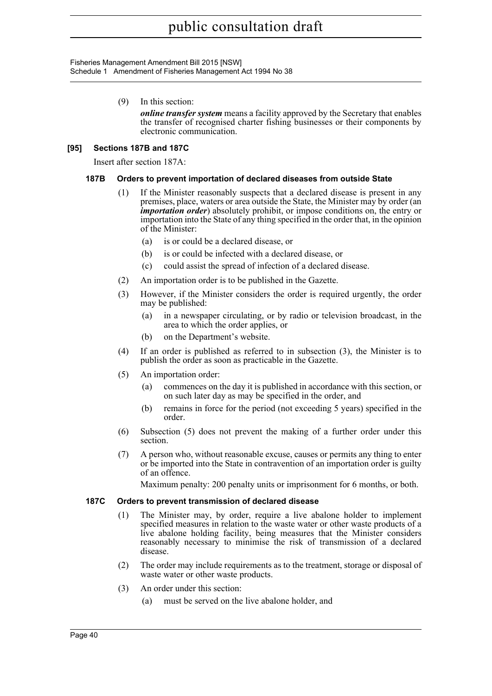Fisheries Management Amendment Bill 2015 [NSW] Schedule 1 Amendment of Fisheries Management Act 1994 No 38

(9) In this section:

*online transfer system* means a facility approved by the Secretary that enables the transfer of recognised charter fishing businesses or their components by electronic communication.

## **[95] Sections 187B and 187C**

Insert after section 187A:

## **187B Orders to prevent importation of declared diseases from outside State**

- (1) If the Minister reasonably suspects that a declared disease is present in any premises, place, waters or area outside the State, the Minister may by order (an *importation order*) absolutely prohibit, or impose conditions on, the entry or importation into the State of any thing specified in the order that, in the opinion of the Minister:
	- (a) is or could be a declared disease, or
	- (b) is or could be infected with a declared disease, or
	- (c) could assist the spread of infection of a declared disease.
- (2) An importation order is to be published in the Gazette.
- (3) However, if the Minister considers the order is required urgently, the order may be published:
	- (a) in a newspaper circulating, or by radio or television broadcast, in the area to which the order applies, or
	- (b) on the Department's website.
- (4) If an order is published as referred to in subsection (3), the Minister is to publish the order as soon as practicable in the Gazette.
- (5) An importation order:
	- (a) commences on the day it is published in accordance with this section, or on such later day as may be specified in the order, and
	- (b) remains in force for the period (not exceeding 5 years) specified in the order.
- (6) Subsection (5) does not prevent the making of a further order under this section.
- (7) A person who, without reasonable excuse, causes or permits any thing to enter or be imported into the State in contravention of an importation order is guilty of an offence.

Maximum penalty: 200 penalty units or imprisonment for 6 months, or both.

## **187C Orders to prevent transmission of declared disease**

- (1) The Minister may, by order, require a live abalone holder to implement specified measures in relation to the waste water or other waste products of a live abalone holding facility, being measures that the Minister considers reasonably necessary to minimise the risk of transmission of a declared disease.
- (2) The order may include requirements as to the treatment, storage or disposal of waste water or other waste products.
- (3) An order under this section:
	- (a) must be served on the live abalone holder, and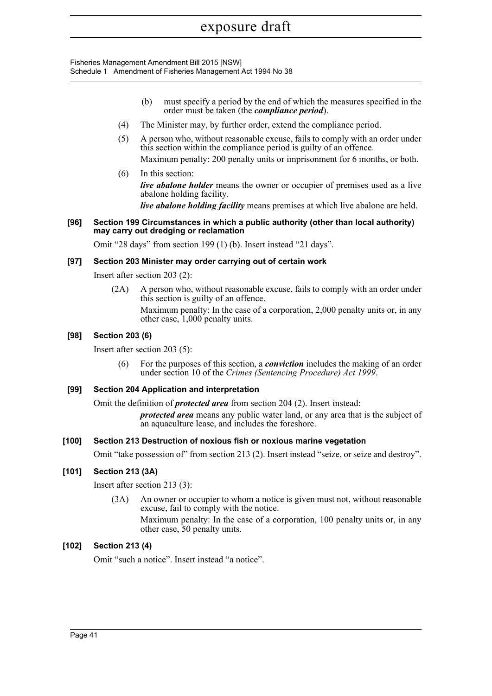Fisheries Management Amendment Bill 2015 [NSW] Schedule 1 Amendment of Fisheries Management Act 1994 No 38

- (b) must specify a period by the end of which the measures specified in the order must be taken (the *compliance period*).
- (4) The Minister may, by further order, extend the compliance period.
- (5) A person who, without reasonable excuse, fails to comply with an order under this section within the compliance period is guilty of an offence. Maximum penalty: 200 penalty units or imprisonment for 6 months, or both.
- (6) In this section: *live abalone holder* means the owner or occupier of premises used as a live abalone holding facility.

*live abalone holding facility* means premises at which live abalone are held.

#### **[96] Section 199 Circumstances in which a public authority (other than local authority) may carry out dredging or reclamation**

Omit "28 days" from section 199 (1) (b). Insert instead "21 days".

## **[97] Section 203 Minister may order carrying out of certain work**

Insert after section 203 (2):

(2A) A person who, without reasonable excuse, fails to comply with an order under this section is guilty of an offence.

Maximum penalty: In the case of a corporation, 2,000 penalty units or, in any other case, 1,000 penalty units.

## **[98] Section 203 (6)**

Insert after section 203 (5):

(6) For the purposes of this section, a *conviction* includes the making of an order under section 10 of the *Crimes (Sentencing Procedure) Act 1999*.

## **[99] Section 204 Application and interpretation**

Omit the definition of *protected area* from section 204 (2). Insert instead:

*protected area* means any public water land, or any area that is the subject of an aquaculture lease, and includes the foreshore.

## **[100] Section 213 Destruction of noxious fish or noxious marine vegetation**

Omit "take possession of" from section 213 (2). Insert instead "seize, or seize and destroy".

## **[101] Section 213 (3A)**

Insert after section 213 (3):

(3A) An owner or occupier to whom a notice is given must not, without reasonable excuse, fail to comply with the notice.

Maximum penalty: In the case of a corporation, 100 penalty units or, in any other case, 50 penalty units.

## **[102] Section 213 (4)**

Omit "such a notice". Insert instead "a notice".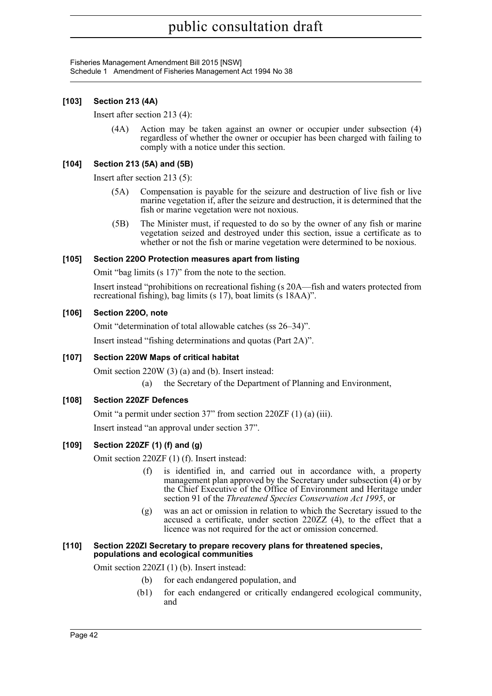Fisheries Management Amendment Bill 2015 [NSW] Schedule 1 Amendment of Fisheries Management Act 1994 No 38

## **[103] Section 213 (4A)**

Insert after section 213 (4):

(4A) Action may be taken against an owner or occupier under subsection (4) regardless of whether the owner or occupier has been charged with failing to comply with a notice under this section.

## **[104] Section 213 (5A) and (5B)**

Insert after section 213 (5):

- (5A) Compensation is payable for the seizure and destruction of live fish or live marine vegetation if, after the seizure and destruction, it is determined that the fish or marine vegetation were not noxious.
- (5B) The Minister must, if requested to do so by the owner of any fish or marine vegetation seized and destroyed under this section, issue a certificate as to whether or not the fish or marine vegetation were determined to be noxious.

## **[105] Section 220O Protection measures apart from listing**

Omit "bag limits (s 17)" from the note to the section.

Insert instead "prohibitions on recreational fishing (s 20A—fish and waters protected from recreational fishing), bag limits (s 17), boat limits (s 18AA)".

## **[106] Section 220O, note**

Omit "determination of total allowable catches (ss 26–34)".

Insert instead "fishing determinations and quotas (Part 2A)".

## **[107] Section 220W Maps of critical habitat**

Omit section 220W (3) (a) and (b). Insert instead:

(a) the Secretary of the Department of Planning and Environment,

## **[108] Section 220ZF Defences**

Omit "a permit under section 37" from section 220ZF (1) (a) (iii).

Insert instead "an approval under section 37".

## **[109] Section 220ZF (1) (f) and (g)**

Omit section 220ZF (1) (f). Insert instead:

- (f) is identified in, and carried out in accordance with, a property management plan approved by the Secretary under subsection  $\hat{A}$  or by the Chief Executive of the Office of Environment and Heritage under section 91 of the *Threatened Species Conservation Act 1995*, or
- (g) was an act or omission in relation to which the Secretary issued to the accused a certificate, under section 220ZZ (4), to the effect that a licence was not required for the act or omission concerned.

#### **[110] Section 220ZI Secretary to prepare recovery plans for threatened species, populations and ecological communities**

Omit section 220ZI (1) (b). Insert instead:

- (b) for each endangered population, and
- (b1) for each endangered or critically endangered ecological community, and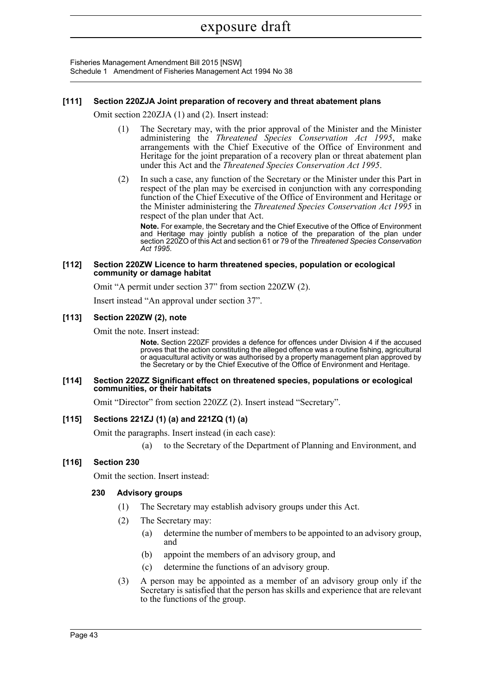Fisheries Management Amendment Bill 2015 [NSW] Schedule 1 Amendment of Fisheries Management Act 1994 No 38

#### **[111] Section 220ZJA Joint preparation of recovery and threat abatement plans**

Omit section 220ZJA (1) and (2). Insert instead:

- (1) The Secretary may, with the prior approval of the Minister and the Minister administering the *Threatened Species Conservation Act 1995*, make arrangements with the Chief Executive of the Office of Environment and Heritage for the joint preparation of a recovery plan or threat abatement plan under this Act and the *Threatened Species Conservation Act 1995*.
- (2) In such a case, any function of the Secretary or the Minister under this Part in respect of the plan may be exercised in conjunction with any corresponding function of the Chief Executive of the Office of Environment and Heritage or the Minister administering the *Threatened Species Conservation Act 1995* in respect of the plan under that Act.

**Note.** For example, the Secretary and the Chief Executive of the Office of Environment and Heritage may jointly publish a notice of the preparation of the plan under section 220ZO of this Act and section 61 or 79 of the *Threatened Species Conservation Act 1995*.

#### **[112] Section 220ZW Licence to harm threatened species, population or ecological community or damage habitat**

Omit "A permit under section 37" from section 220ZW (2).

Insert instead "An approval under section 37".

#### **[113] Section 220ZW (2), note**

Omit the note. Insert instead:

**Note.** Section 220ZF provides a defence for offences under Division 4 if the accused proves that the action constituting the alleged offence was a routine fishing, agricultural or aquacultural activity or was authorised by a property management plan approved by the Secretary or by the Chief Executive of the Office of Environment and Heritage.

#### **[114] Section 220ZZ Significant effect on threatened species, populations or ecological communities, or their habitats**

Omit "Director" from section 220ZZ (2). Insert instead "Secretary".

## **[115] Sections 221ZJ (1) (a) and 221ZQ (1) (a)**

Omit the paragraphs. Insert instead (in each case):

(a) to the Secretary of the Department of Planning and Environment, and

## **[116] Section 230**

Omit the section. Insert instead:

#### **230 Advisory groups**

- (1) The Secretary may establish advisory groups under this Act.
- (2) The Secretary may:
	- (a) determine the number of members to be appointed to an advisory group, and
	- (b) appoint the members of an advisory group, and
	- (c) determine the functions of an advisory group.
- (3) A person may be appointed as a member of an advisory group only if the Secretary is satisfied that the person has skills and experience that are relevant to the functions of the group.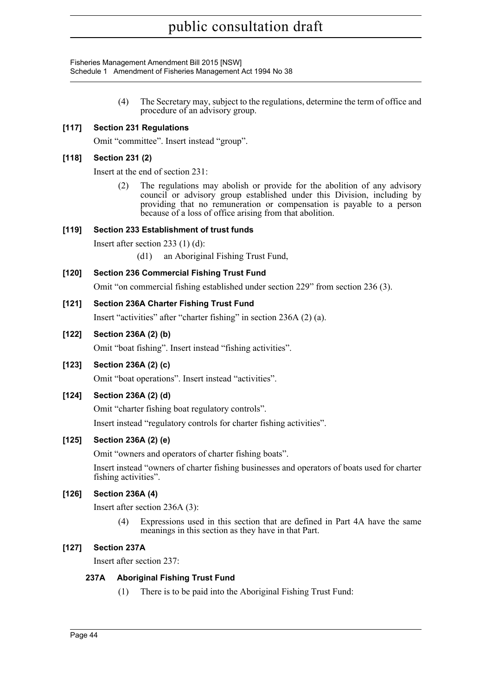Fisheries Management Amendment Bill 2015 [NSW] Schedule 1 Amendment of Fisheries Management Act 1994 No 38

> (4) The Secretary may, subject to the regulations, determine the term of office and procedure of an advisory group.

## **[117] Section 231 Regulations**

Omit "committee". Insert instead "group".

## **[118] Section 231 (2)**

Insert at the end of section 231:

(2) The regulations may abolish or provide for the abolition of any advisory council or advisory group established under this Division, including by providing that no remuneration or compensation is payable to a person because of a loss of office arising from that abolition.

## **[119] Section 233 Establishment of trust funds**

Insert after section 233 (1) (d):

(d1) an Aboriginal Fishing Trust Fund,

## **[120] Section 236 Commercial Fishing Trust Fund**

Omit "on commercial fishing established under section 229" from section 236 (3).

## **[121] Section 236A Charter Fishing Trust Fund**

Insert "activities" after "charter fishing" in section 236A (2) (a).

## **[122] Section 236A (2) (b)**

Omit "boat fishing". Insert instead "fishing activities".

## **[123] Section 236A (2) (c)**

Omit "boat operations". Insert instead "activities".

## **[124] Section 236A (2) (d)**

Omit "charter fishing boat regulatory controls".

Insert instead "regulatory controls for charter fishing activities".

## **[125] Section 236A (2) (e)**

Omit "owners and operators of charter fishing boats".

Insert instead "owners of charter fishing businesses and operators of boats used for charter fishing activities".

## **[126] Section 236A (4)**

Insert after section 236A (3):

(4) Expressions used in this section that are defined in Part 4A have the same meanings in this section as they have in that Part.

## **[127] Section 237A**

Insert after section 237:

## **237A Aboriginal Fishing Trust Fund**

(1) There is to be paid into the Aboriginal Fishing Trust Fund: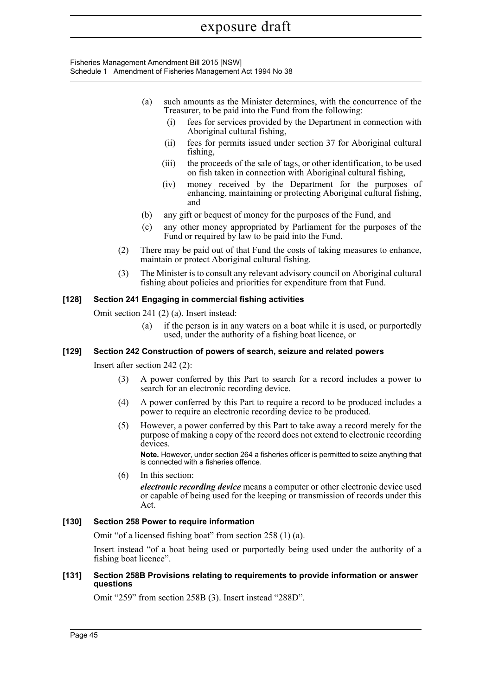Fisheries Management Amendment Bill 2015 [NSW] Schedule 1 Amendment of Fisheries Management Act 1994 No 38

- (a) such amounts as the Minister determines, with the concurrence of the Treasurer, to be paid into the Fund from the following:
	- (i) fees for services provided by the Department in connection with Aboriginal cultural fishing,
	- (ii) fees for permits issued under section 37 for Aboriginal cultural fishing,
	- (iii) the proceeds of the sale of tags, or other identification, to be used on fish taken in connection with Aboriginal cultural fishing,
	- (iv) money received by the Department for the purposes of enhancing, maintaining or protecting Aboriginal cultural fishing, and
- (b) any gift or bequest of money for the purposes of the Fund, and
- (c) any other money appropriated by Parliament for the purposes of the Fund or required by law to be paid into the Fund.
- (2) There may be paid out of that Fund the costs of taking measures to enhance, maintain or protect Aboriginal cultural fishing.
- (3) The Minister is to consult any relevant advisory council on Aboriginal cultural fishing about policies and priorities for expenditure from that Fund.

## **[128] Section 241 Engaging in commercial fishing activities**

Omit section 241 (2) (a). Insert instead:

(a) if the person is in any waters on a boat while it is used, or purportedly used, under the authority of a fishing boat licence, or

## **[129] Section 242 Construction of powers of search, seizure and related powers**

Insert after section 242 (2):

- (3) A power conferred by this Part to search for a record includes a power to search for an electronic recording device.
- (4) A power conferred by this Part to require a record to be produced includes a power to require an electronic recording device to be produced.
- (5) However, a power conferred by this Part to take away a record merely for the purpose of making a copy of the record does not extend to electronic recording devices.

**Note.** However, under section 264 a fisheries officer is permitted to seize anything that is connected with a fisheries offence.

(6) In this section: *electronic recording device* means a computer or other electronic device used or capable of being used for the keeping or transmission of records under this Act.

## **[130] Section 258 Power to require information**

Omit "of a licensed fishing boat" from section 258 (1) (a).

Insert instead "of a boat being used or purportedly being used under the authority of a fishing boat licence".

#### **[131] Section 258B Provisions relating to requirements to provide information or answer questions**

Omit "259" from section 258B (3). Insert instead "288D".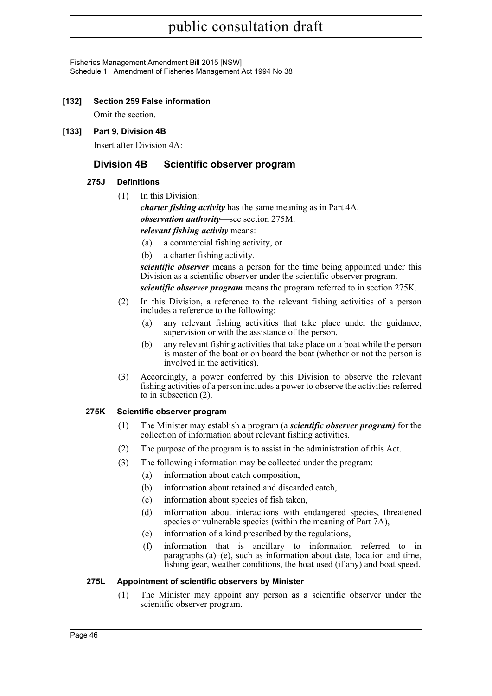Fisheries Management Amendment Bill 2015 [NSW] Schedule 1 Amendment of Fisheries Management Act 1994 No 38

## **[132] Section 259 False information**

Omit the section.

## **[133] Part 9, Division 4B**

Insert after Division 4A:

## **Division 4B Scientific observer program**

## **275J Definitions**

(1) In this Division:

*charter fishing activity* has the same meaning as in Part 4A. *observation authority*—see section 275M. *relevant fishing activity* means:

- (a) a commercial fishing activity, or
- (b) a charter fishing activity.

*scientific observer* means a person for the time being appointed under this Division as a scientific observer under the scientific observer program.

*scientific observer program* means the program referred to in section 275K.

- (2) In this Division, a reference to the relevant fishing activities of a person includes a reference to the following:
	- (a) any relevant fishing activities that take place under the guidance, supervision or with the assistance of the person,
	- (b) any relevant fishing activities that take place on a boat while the person is master of the boat or on board the boat (whether or not the person is involved in the activities).
- (3) Accordingly, a power conferred by this Division to observe the relevant fishing activities of a person includes a power to observe the activities referred to in subsection (2).

## **275K Scientific observer program**

- (1) The Minister may establish a program (a *scientific observer program)* for the collection of information about relevant fishing activities.
- (2) The purpose of the program is to assist in the administration of this Act.
- (3) The following information may be collected under the program:
	- (a) information about catch composition,
	- (b) information about retained and discarded catch,
	- (c) information about species of fish taken,
	- (d) information about interactions with endangered species, threatened species or vulnerable species (within the meaning of Part 7A),
	- (e) information of a kind prescribed by the regulations,
	- (f) information that is ancillary to information referred to in paragraphs (a)–(e), such as information about date, location and time, fishing gear, weather conditions, the boat used (if any) and boat speed.

## **275L Appointment of scientific observers by Minister**

(1) The Minister may appoint any person as a scientific observer under the scientific observer program.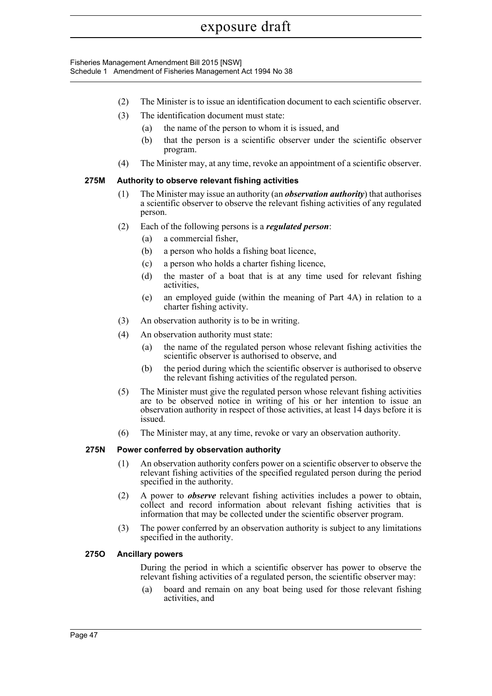Fisheries Management Amendment Bill 2015 [NSW] Schedule 1 Amendment of Fisheries Management Act 1994 No 38

- (2) The Minister is to issue an identification document to each scientific observer.
- (3) The identification document must state:
	- (a) the name of the person to whom it is issued, and
	- (b) that the person is a scientific observer under the scientific observer program.
- (4) The Minister may, at any time, revoke an appointment of a scientific observer.

## **275M Authority to observe relevant fishing activities**

- (1) The Minister may issue an authority (an *observation authority*) that authorises a scientific observer to observe the relevant fishing activities of any regulated person.
- (2) Each of the following persons is a *regulated person*:
	- (a) a commercial fisher,
	- (b) a person who holds a fishing boat licence,
	- (c) a person who holds a charter fishing licence,
	- (d) the master of a boat that is at any time used for relevant fishing activities,
	- (e) an employed guide (within the meaning of Part 4A) in relation to a charter fishing activity.
- (3) An observation authority is to be in writing.
- (4) An observation authority must state:
	- (a) the name of the regulated person whose relevant fishing activities the scientific observer is authorised to observe, and
	- (b) the period during which the scientific observer is authorised to observe the relevant fishing activities of the regulated person.
- (5) The Minister must give the regulated person whose relevant fishing activities are to be observed notice in writing of his or her intention to issue an observation authority in respect of those activities, at least 14 days before it is issued.
- (6) The Minister may, at any time, revoke or vary an observation authority.

## **275N Power conferred by observation authority**

- (1) An observation authority confers power on a scientific observer to observe the relevant fishing activities of the specified regulated person during the period specified in the authority.
- (2) A power to *observe* relevant fishing activities includes a power to obtain, collect and record information about relevant fishing activities that is information that may be collected under the scientific observer program.
- (3) The power conferred by an observation authority is subject to any limitations specified in the authority.

## **275O Ancillary powers**

During the period in which a scientific observer has power to observe the relevant fishing activities of a regulated person, the scientific observer may:

(a) board and remain on any boat being used for those relevant fishing activities, and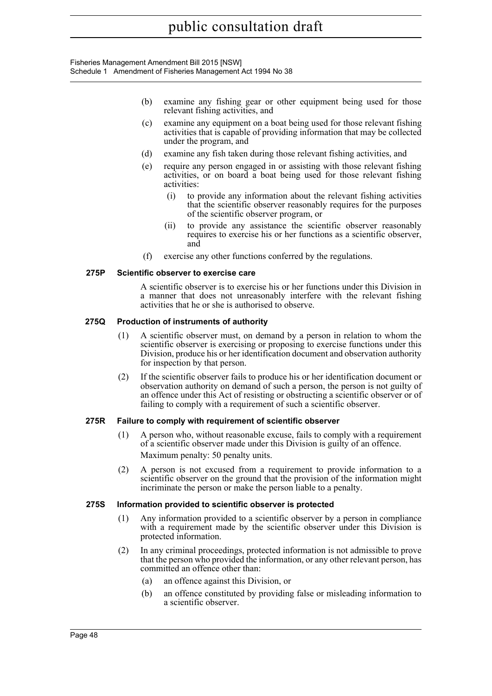Fisheries Management Amendment Bill 2015 [NSW] Schedule 1 Amendment of Fisheries Management Act 1994 No 38

- (b) examine any fishing gear or other equipment being used for those relevant fishing activities, and
- (c) examine any equipment on a boat being used for those relevant fishing activities that is capable of providing information that may be collected under the program, and
- (d) examine any fish taken during those relevant fishing activities, and
- (e) require any person engaged in or assisting with those relevant fishing activities, or on board a boat being used for those relevant fishing activities:
	- (i) to provide any information about the relevant fishing activities that the scientific observer reasonably requires for the purposes of the scientific observer program, or
	- (ii) to provide any assistance the scientific observer reasonably requires to exercise his or her functions as a scientific observer, and
- (f) exercise any other functions conferred by the regulations.

#### **275P Scientific observer to exercise care**

A scientific observer is to exercise his or her functions under this Division in a manner that does not unreasonably interfere with the relevant fishing activities that he or she is authorised to observe.

#### **275Q Production of instruments of authority**

- (1) A scientific observer must, on demand by a person in relation to whom the scientific observer is exercising or proposing to exercise functions under this Division, produce his or her identification document and observation authority for inspection by that person.
- (2) If the scientific observer fails to produce his or her identification document or observation authority on demand of such a person, the person is not guilty of an offence under this Act of resisting or obstructing a scientific observer or of failing to comply with a requirement of such a scientific observer.

#### **275R Failure to comply with requirement of scientific observer**

- (1) A person who, without reasonable excuse, fails to comply with a requirement of a scientific observer made under this Division is guilty of an offence. Maximum penalty: 50 penalty units.
- (2) A person is not excused from a requirement to provide information to a scientific observer on the ground that the provision of the information might incriminate the person or make the person liable to a penalty.

#### **275S Information provided to scientific observer is protected**

- (1) Any information provided to a scientific observer by a person in compliance with a requirement made by the scientific observer under this Division is protected information.
- (2) In any criminal proceedings, protected information is not admissible to prove that the person who provided the information, or any other relevant person, has committed an offence other than:
	- (a) an offence against this Division, or
	- (b) an offence constituted by providing false or misleading information to a scientific observer.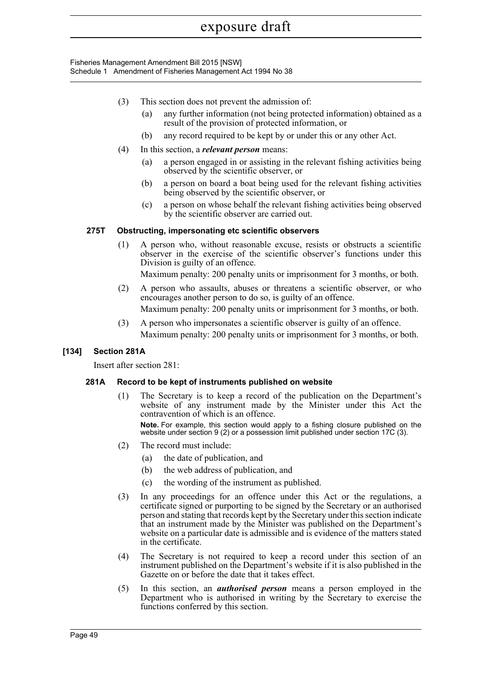Fisheries Management Amendment Bill 2015 [NSW] Schedule 1 Amendment of Fisheries Management Act 1994 No 38

- (3) This section does not prevent the admission of:
	- (a) any further information (not being protected information) obtained as a result of the provision of protected information, or
	- (b) any record required to be kept by or under this or any other Act.
- (4) In this section, a *relevant person* means:
	- (a) a person engaged in or assisting in the relevant fishing activities being observed by the scientific observer, or
	- (b) a person on board a boat being used for the relevant fishing activities being observed by the scientific observer, or
	- (c) a person on whose behalf the relevant fishing activities being observed by the scientific observer are carried out.

#### **275T Obstructing, impersonating etc scientific observers**

(1) A person who, without reasonable excuse, resists or obstructs a scientific observer in the exercise of the scientific observer's functions under this Division is guilty of an offence.

Maximum penalty: 200 penalty units or imprisonment for 3 months, or both.

- (2) A person who assaults, abuses or threatens a scientific observer, or who encourages another person to do so, is guilty of an offence. Maximum penalty: 200 penalty units or imprisonment for 3 months, or both.
- (3) A person who impersonates a scientific observer is guilty of an offence. Maximum penalty: 200 penalty units or imprisonment for 3 months, or both.

## **[134] Section 281A**

Insert after section 281:

#### **281A Record to be kept of instruments published on website**

- (1) The Secretary is to keep a record of the publication on the Department's website of any instrument made by the Minister under this Act the contravention of which is an offence. **Note.** For example, this section would apply to a fishing closure published on the website under section 9 (2) or a possession limit published under section 17C (3).
- (2) The record must include:
	- (a) the date of publication, and
	- (b) the web address of publication, and
	- (c) the wording of the instrument as published.
- (3) In any proceedings for an offence under this Act or the regulations, a certificate signed or purporting to be signed by the Secretary or an authorised person and stating that records kept by the Secretary under this section indicate that an instrument made by the Minister was published on the Department's website on a particular date is admissible and is evidence of the matters stated in the certificate.
- (4) The Secretary is not required to keep a record under this section of an instrument published on the Department's website if it is also published in the Gazette on or before the date that it takes effect.
- (5) In this section, an *authorised person* means a person employed in the Department who is authorised in writing by the Secretary to exercise the functions conferred by this section.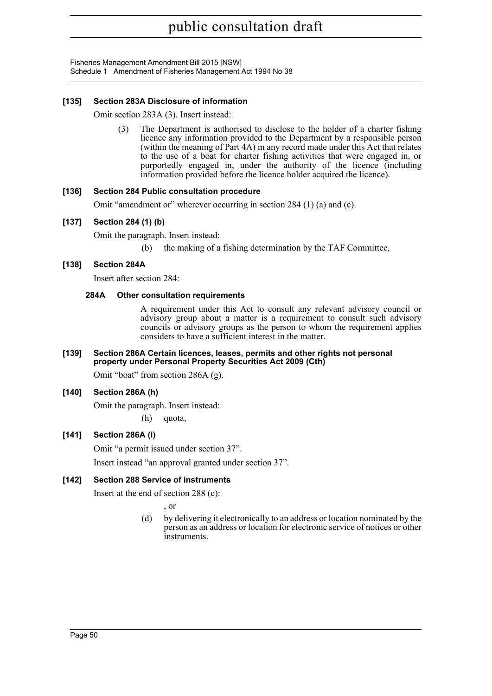Fisheries Management Amendment Bill 2015 [NSW] Schedule 1 Amendment of Fisheries Management Act 1994 No 38

## **[135] Section 283A Disclosure of information**

Omit section 283A (3). Insert instead:

(3) The Department is authorised to disclose to the holder of a charter fishing licence any information provided to the Department by a responsible person (within the meaning of Part 4A) in any record made under this Act that relates to the use of a boat for charter fishing activities that were engaged in, or purportedly engaged in, under the authority of the licence (including information provided before the licence holder acquired the licence).

## **[136] Section 284 Public consultation procedure**

Omit "amendment or" wherever occurring in section 284 (1) (a) and (c).

## **[137] Section 284 (1) (b)**

Omit the paragraph. Insert instead:

(b) the making of a fishing determination by the TAF Committee,

## **[138] Section 284A**

Insert after section 284:

## **284A Other consultation requirements**

A requirement under this Act to consult any relevant advisory council or advisory group about a matter is a requirement to consult such advisory councils or advisory groups as the person to whom the requirement applies considers to have a sufficient interest in the matter.

#### **[139] Section 286A Certain licences, leases, permits and other rights not personal property under Personal Property Securities Act 2009 (Cth)**

Omit "boat" from section 286A (g).

## **[140] Section 286A (h)**

Omit the paragraph. Insert instead: (h) quota,

## **[141] Section 286A (i)**

Omit "a permit issued under section 37".

Insert instead "an approval granted under section 37".

## **[142] Section 288 Service of instruments**

Insert at the end of section 288 (c):

, or

(d) by delivering it electronically to an address or location nominated by the person as an address or location for electronic service of notices or other instruments.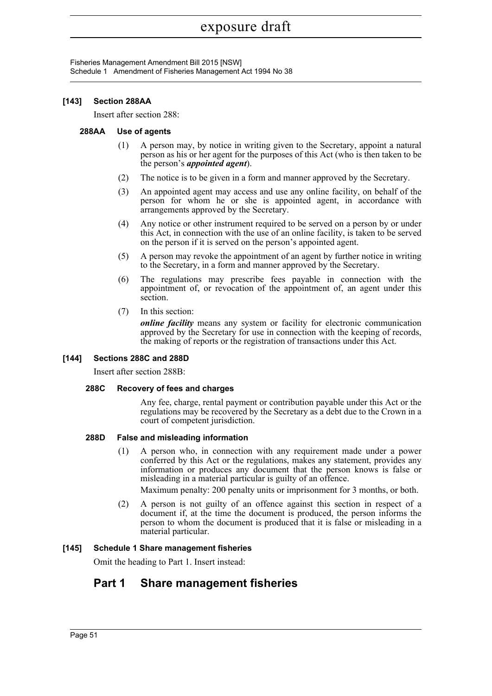Fisheries Management Amendment Bill 2015 [NSW] Schedule 1 Amendment of Fisheries Management Act 1994 No 38

## **[143] Section 288AA**

Insert after section 288:

## **288AA Use of agents**

- (1) A person may, by notice in writing given to the Secretary, appoint a natural person as his or her agent for the purposes of this Act (who is then taken to be the person's *appointed agent*).
- (2) The notice is to be given in a form and manner approved by the Secretary.
- (3) An appointed agent may access and use any online facility, on behalf of the person for whom he or she is appointed agent, in accordance with arrangements approved by the Secretary.
- (4) Any notice or other instrument required to be served on a person by or under this Act, in connection with the use of an online facility, is taken to be served on the person if it is served on the person's appointed agent.
- (5) A person may revoke the appointment of an agent by further notice in writing to the Secretary, in a form and manner approved by the Secretary.
- (6) The regulations may prescribe fees payable in connection with the appointment of, or revocation of the appointment of, an agent under this section.
- (7) In this section:

*online facility* means any system or facility for electronic communication approved by the Secretary for use in connection with the keeping of records, the making of reports or the registration of transactions under this Act.

## **[144] Sections 288C and 288D**

Insert after section 288B:

## **288C Recovery of fees and charges**

Any fee, charge, rental payment or contribution payable under this Act or the regulations may be recovered by the Secretary as a debt due to the Crown in a court of competent jurisdiction.

## **288D False and misleading information**

(1) A person who, in connection with any requirement made under a power conferred by this Act or the regulations, makes any statement, provides any information or produces any document that the person knows is false or misleading in a material particular is guilty of an offence.

Maximum penalty: 200 penalty units or imprisonment for 3 months, or both.

(2) A person is not guilty of an offence against this section in respect of a document if, at the time the document is produced, the person informs the person to whom the document is produced that it is false or misleading in a material particular.

## **[145] Schedule 1 Share management fisheries**

Omit the heading to Part 1. Insert instead:

## **Part 1 Share management fisheries**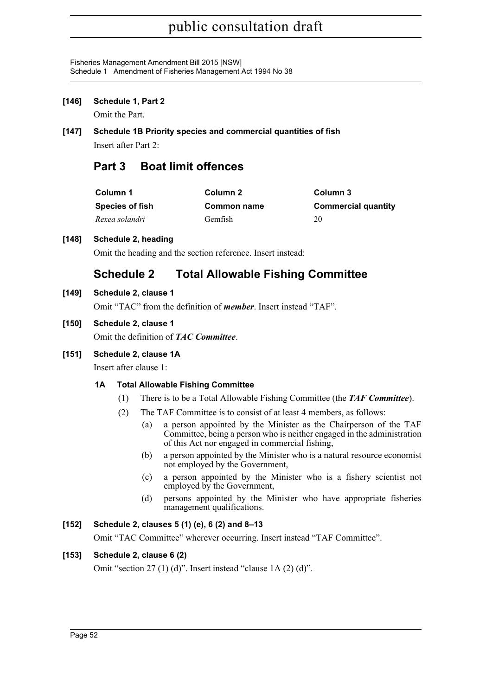Fisheries Management Amendment Bill 2015 [NSW] Schedule 1 Amendment of Fisheries Management Act 1994 No 38

**[146] Schedule 1, Part 2**

Omit the Part.

**[147] Schedule 1B Priority species and commercial quantities of fish** Insert after Part 2:

## **Part 3 Boat limit offences**

| Column 1               | Column 2       | Column 3                   |
|------------------------|----------------|----------------------------|
| <b>Species of fish</b> | Common name    | <b>Commercial quantity</b> |
| Rexea solandri         | <b>Gemfish</b> | 20                         |

## **[148] Schedule 2, heading**

Omit the heading and the section reference. Insert instead:

## **Schedule 2 Total Allowable Fishing Committee**

## **[149] Schedule 2, clause 1**

Omit "TAC" from the definition of *member*. Insert instead "TAF".

## **[150] Schedule 2, clause 1**

Omit the definition of *TAC Committee*.

## **[151] Schedule 2, clause 1A**

Insert after clause 1:

## **1A Total Allowable Fishing Committee**

- (1) There is to be a Total Allowable Fishing Committee (the *TAF Committee*).
- (2) The TAF Committee is to consist of at least 4 members, as follows:
	- (a) a person appointed by the Minister as the Chairperson of the TAF Committee, being a person who is neither engaged in the administration of this Act nor engaged in commercial fishing,
	- (b) a person appointed by the Minister who is a natural resource economist not employed by the Government,
	- (c) a person appointed by the Minister who is a fishery scientist not employed by the Government,
	- (d) persons appointed by the Minister who have appropriate fisheries management qualifications.

## **[152] Schedule 2, clauses 5 (1) (e), 6 (2) and 8–13**

Omit "TAC Committee" wherever occurring. Insert instead "TAF Committee".

## **[153] Schedule 2, clause 6 (2)**

Omit "section 27 (1) (d)". Insert instead "clause 1A (2) (d)".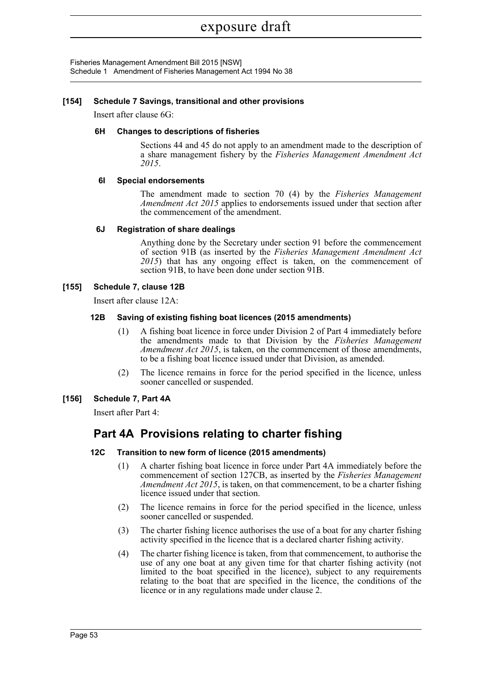Fisheries Management Amendment Bill 2015 [NSW] Schedule 1 Amendment of Fisheries Management Act 1994 No 38

## **[154] Schedule 7 Savings, transitional and other provisions**

Insert after clause 6G:

#### **6H Changes to descriptions of fisheries**

Sections 44 and 45 do not apply to an amendment made to the description of a share management fishery by the *Fisheries Management Amendment Act 2015*.

#### **6I Special endorsements**

The amendment made to section 70 (4) by the *Fisheries Management Amendment Act 2015* applies to endorsements issued under that section after the commencement of the amendment.

#### **6J Registration of share dealings**

Anything done by the Secretary under section 91 before the commencement of section 91B (as inserted by the *Fisheries Management Amendment Act 2015*) that has any ongoing effect is taken, on the commencement of section 91B, to have been done under section 91B.

#### **[155] Schedule 7, clause 12B**

Insert after clause 12A:

#### **12B Saving of existing fishing boat licences (2015 amendments)**

- (1) A fishing boat licence in force under Division 2 of Part 4 immediately before the amendments made to that Division by the *Fisheries Management Amendment Act 2015*, is taken, on the commencement of those amendments, to be a fishing boat licence issued under that Division, as amended.
- (2) The licence remains in force for the period specified in the licence, unless sooner cancelled or suspended.

## **[156] Schedule 7, Part 4A**

Insert after Part 4:

## **Part 4A Provisions relating to charter fishing**

#### **12C Transition to new form of licence (2015 amendments)**

- (1) A charter fishing boat licence in force under Part 4A immediately before the commencement of section 127CB, as inserted by the *Fisheries Management Amendment Act 2015*, is taken, on that commencement, to be a charter fishing licence issued under that section.
- (2) The licence remains in force for the period specified in the licence, unless sooner cancelled or suspended.
- (3) The charter fishing licence authorises the use of a boat for any charter fishing activity specified in the licence that is a declared charter fishing activity.
- (4) The charter fishing licence is taken, from that commencement, to authorise the use of any one boat at any given time for that charter fishing activity (not limited to the boat specified in the licence), subject to any requirements relating to the boat that are specified in the licence, the conditions of the licence or in any regulations made under clause 2.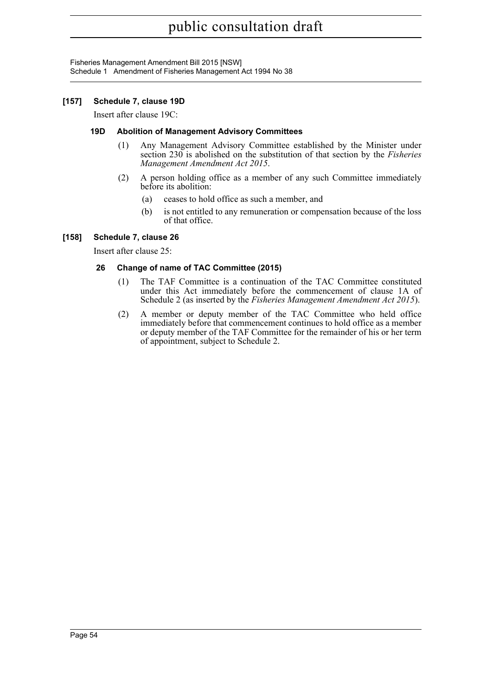Fisheries Management Amendment Bill 2015 [NSW] Schedule 1 Amendment of Fisheries Management Act 1994 No 38

## **[157] Schedule 7, clause 19D**

Insert after clause 19C:

#### **19D Abolition of Management Advisory Committees**

- (1) Any Management Advisory Committee established by the Minister under section 230 is abolished on the substitution of that section by the *Fisheries Management Amendment Act 2015*.
- (2) A person holding office as a member of any such Committee immediately before its abolition:
	- (a) ceases to hold office as such a member, and
	- (b) is not entitled to any remuneration or compensation because of the loss of that office.

## **[158] Schedule 7, clause 26**

Insert after clause 25:

## **26 Change of name of TAC Committee (2015)**

- (1) The TAF Committee is a continuation of the TAC Committee constituted under this Act immediately before the commencement of clause 1A of Schedule 2 (as inserted by the *Fisheries Management Amendment Act 2015*).
- (2) A member or deputy member of the TAC Committee who held office immediately before that commencement continues to hold office as a member or deputy member of the TAF Committee for the remainder of his or her term of appointment, subject to Schedule 2.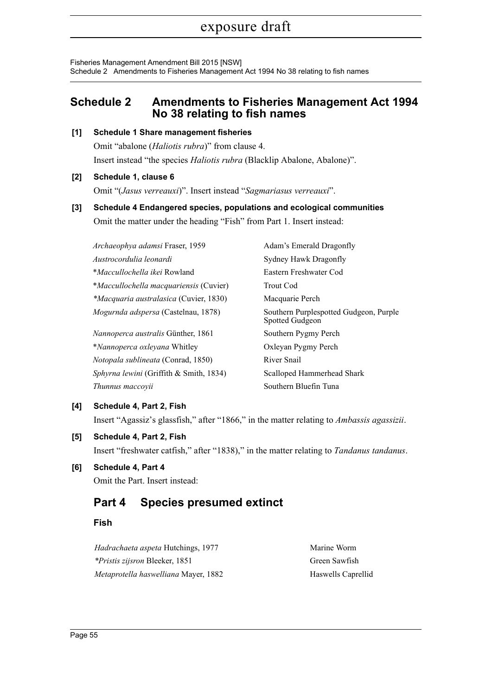Fisheries Management Amendment Bill 2015 [NSW] Schedule 2 Amendments to Fisheries Management Act 1994 No 38 relating to fish names

## <span id="page-65-0"></span>**Schedule 2 Amendments to Fisheries Management Act 1994 No 38 relating to fish names**

## **[1] Schedule 1 Share management fisheries**

Omit "abalone (*Haliotis rubra*)" from clause 4. Insert instead "the species *Haliotis rubra* (Blacklip Abalone, Abalone)".

## **[2] Schedule 1, clause 6**

Omit "(*Jasus verreauxi*)". Insert instead "*Sagmariasus verreauxi*".

## **[3] Schedule 4 Endangered species, populations and ecological communities** Omit the matter under the heading "Fish" from Part 1. Insert instead:

| Archaeophya adamsi Fraser, 1959               | Adam's Emerald Dragonfly                                  |  |
|-----------------------------------------------|-----------------------------------------------------------|--|
| Austrocordulia leonardi                       | Sydney Hawk Dragonfly                                     |  |
| <i>*Maccullochella ikei</i> Rowland           | Eastern Freshwater Cod                                    |  |
| <i>*Maccullochella macquariensis (Cuvier)</i> | <b>Trout Cod</b>                                          |  |
| <i>*Macquaria australasica</i> (Cuvier, 1830) | Macquarie Perch                                           |  |
| Mogurnda adspersa (Castelnau, 1878)           | Southern Purplespotted Gudgeon, Purple<br>Spotted Gudgeon |  |
| <i>Nannoperca australis Günther, 1861</i>     | Southern Pygmy Perch                                      |  |
| *Nannoperca oxleyana Whitley                  | Oxleyan Pygmy Perch                                       |  |
| <i>Notopala sublineata</i> (Conrad, 1850)     | River Snail                                               |  |
| Sphyrna lewini (Griffith & Smith, 1834)       | Scalloped Hammerhead Shark                                |  |
| Thunnus maccovii                              | Southern Bluefin Tuna                                     |  |

## **[4] Schedule 4, Part 2, Fish**

Insert "Agassiz's glassfish," after "1866," in the matter relating to *Ambassis agassizii*.

## **[5] Schedule 4, Part 2, Fish**

Insert "freshwater catfish," after "1838)," in the matter relating to *Tandanus tandanus*.

## **[6] Schedule 4, Part 4**

Omit the Part. Insert instead:

## **Part 4 Species presumed extinct**

## **Fish**

*Hadrachaeta aspeta* Hutchings, 1977 Marine Worm *\*Pristis zijsron* Bleeker, 1851 Green Sawfish *Metaprotella haswelliana* Mayer, 1882 Haswells Caprellid